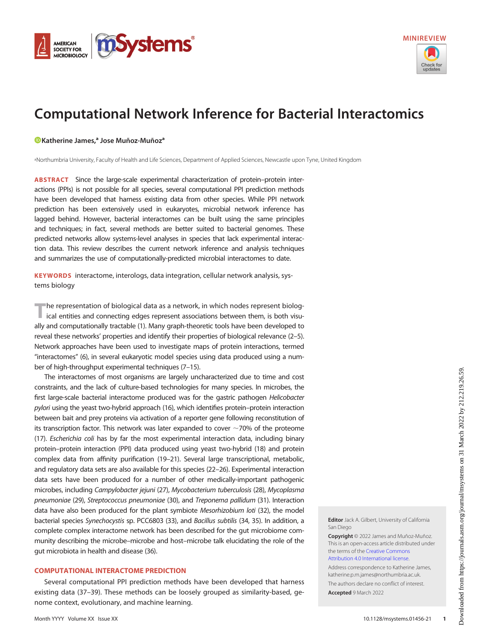<span id="page-0-0"></span>



# Computational Network Inference for Bacterial Interactomics

# [Katherine James,](https://orcid.org/0000-0003-0167-8393)<sup>a</sup> Jose Muñoz-Muñoz<sup>a</sup>

a Northumbria University, Faculty of Health and Life Sciences, Department of Applied Sciences, Newcastle upon Tyne, United Kingdom

ABSTRACT Since the large-scale experimental characterization of protein–protein interactions (PPIs) is not possible for all species, several computational PPI prediction methods have been developed that harness existing data from other species. While PPI network prediction has been extensively used in eukaryotes, microbial network inference has lagged behind. However, bacterial interactomes can be built using the same principles and techniques; in fact, several methods are better suited to bacterial genomes. These predicted networks allow systems-level analyses in species that lack experimental interaction data. This review describes the current network inference and analysis techniques and summarizes the use of computationally-predicted microbial interactomes to date.

KEYWORDS interactome, interologs, data integration, cellular network analysis, systems biology

The representation of biological data as a network, in which nodes represent biolog-<br>ical entities and connecting edges represent associations between them, is both visually and computationally tractable [\(1\)](#page-8-0). Many graph-theoretic tools have been developed to reveal these networks' properties and identify their properties of biological relevance ([2](#page-8-1)–[5\)](#page-8-2). Network approaches have been used to investigate maps of protein interactions, termed "interactomes" [\(6\)](#page-8-3), in several eukaryotic model species using data produced using a number of high-throughput experimental techniques ([7](#page-8-4)–[15](#page-8-5)).

The interactomes of most organisms are largely uncharacterized due to time and cost constraints, and the lack of culture-based technologies for many species. In microbes, the first large-scale bacterial interactome produced was for the gastric pathogen Helicobacter pylori using the yeast two-hybrid approach [\(16](#page-8-6)), which identifies protein–protein interaction between bait and prey proteins via activation of a reporter gene following reconstitution of its transcription factor. This network was later expanded to cover  $\sim$  70% of the proteome [\(17](#page-8-7)). Escherichia coli has by far the most experimental interaction data, including binary protein–protein interaction (PPI) data produced using yeast two-hybrid ([18](#page-8-8)) and protein complex data from affinity purification [\(19](#page-8-9)[–](#page-8-10)[21](#page-8-11)). Several large transcriptional, metabolic, and regulatory data sets are also available for this species [\(22](#page-8-12)–[26\)](#page-8-13). Experimental interaction data sets have been produced for a number of other medically-important pathogenic microbes, including Campylobacter jejuni [\(27\)](#page-8-14), Mycobacterium tuberculosis [\(28](#page-8-15)), Mycoplasma pneumoniae [\(29\)](#page-9-0), Streptococcus pneumoniae [\(30\)](#page-9-1), and Treponema pallidum [\(31](#page-9-2)). Interaction data have also been produced for the plant symbiote Mesorhizobium loti ([32\)](#page-9-3), the model bacterial species Synechocystis sp. PCC6803 [\(33](#page-9-4)), and Bacillus subtilis [\(34,](#page-9-5) [35\)](#page-9-6). In addition, a complete complex interactome network has been described for the gut microbiome community describing the microbe–microbe and host–microbe talk elucidating the role of the gut microbiota in health and disease [\(36\)](#page-9-7).

# COMPUTATIONAL INTERACTOME PREDICTION

Several computational PPI prediction methods have been developed that harness existing data ([37](#page-9-8)[–](#page-9-9)[39\)](#page-9-10). These methods can be loosely grouped as similarity-based, genome context, evolutionary, and machine learning.

Editor Jack A. Gilbert, University of California San Diego

Copyright © 2022 James and Muñoz-Muñoz. This is an open-access article distributed under the terms of the [Creative Commons](https://creativecommons.org/licenses/by/4.0/) [Attribution 4.0 International license](https://creativecommons.org/licenses/by/4.0/).

Address correspondence to Katherine James, katherine.p.m.james@northumbria.ac.uk.

The authors declare no conflict of interest.

Accepted 9 March 2022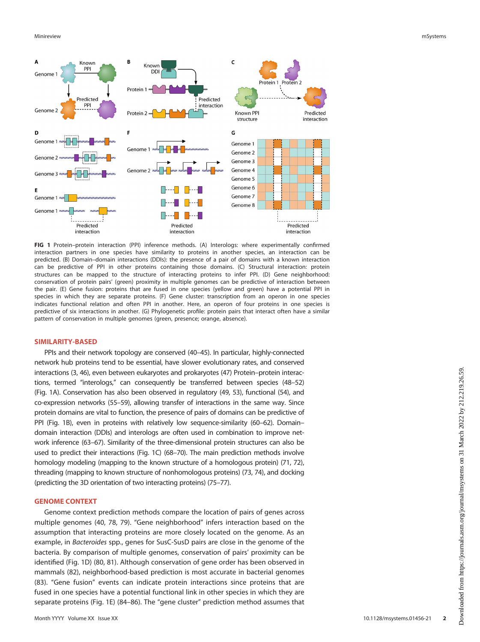

<span id="page-1-0"></span>FIG 1 Protein–protein interaction (PPI) inference methods. (A) Interologs: where experimentally confirmed interaction partners in one species have similarity to proteins in another species, an interaction can be predicted. (B) Domain–domain interactions (DDIs): the presence of a pair of domains with a known interaction can be predictive of PPI in other proteins containing those domains. (C) Structural interaction: protein structures can be mapped to the structure of interacting proteins to infer PPI. (D) Gene neighborhood: conservation of protein pairs' (green) proximity in multiple genomes can be predictive of interaction between the pair. (E) Gene fusion: proteins that are fused in one species (yellow and green) have a potential PPI in species in which they are separate proteins. (F) Gene cluster: transcription from an operon in one species indicates functional relation and often PPI in another. Here, an operon of four proteins in one species is predictive of six interactions in another. (G) Phylogenetic profile: protein pairs that interact often have a similar pattern of conservation in multiple genomes (green, presence; orange, absence).

## SIMILARITY-BASED

PPIs and their network topology are conserved [\(40](#page-9-11)–[45](#page-9-12)). In particular, highly-connected network hub proteins tend to be essential, have slower evolutionary rates, and conserved interactions [\(3](#page-8-16), [46](#page-9-13)), even between eukaryotes and prokaryotes [\(47](#page-9-14)) Protein–protein interactions, termed "interologs," can consequently be transferred between species [\(48](#page-9-15)–[52](#page-9-16)) [\(Fig. 1A\)](#page-1-0). Conservation has also been observed in regulatory [\(49,](#page-9-17) [53](#page-9-18)), functional [\(54\)](#page-9-19), and co-expression networks [\(55](#page-9-20)–[59\)](#page-9-21), allowing transfer of interactions in the same way. Since protein domains are vital to function, the presence of pairs of domains can be predictive of PPI [\(Fig. 1B](#page-1-0)), even in proteins with relatively low sequence-similarity [\(60](#page-9-22)[–](#page-9-23)[62\)](#page-9-24). Domain– domain interaction (DDIs) and interologs are often used in combination to improve network inference [\(63](#page-9-25)–[67\)](#page-9-26). Similarity of the three-dimensional protein structures can also be used to predict their interactions [\(Fig. 1C](#page-1-0)) [\(68](#page-9-27)[–](#page-9-28)[70](#page-10-0)). The main prediction methods involve homology modeling (mapping to the known structure of a homologous protein) ([71](#page-10-1), [72\)](#page-10-2), threading (mapping to known structure of nonhomologous proteins) [\(73](#page-10-3), [74](#page-10-4)), and docking (predicting the 3D orientation of two interacting proteins) [\(75](#page-10-5)[–](#page-10-6)[77](#page-10-7)).

## GENOME CONTEXT

Genome context prediction methods compare the location of pairs of genes across multiple genomes ([40,](#page-9-11) [78](#page-10-8), [79\)](#page-10-9). "Gene neighborhood" infers interaction based on the assumption that interacting proteins are more closely located on the genome. As an example, in Bacteroides spp., genes for SusC-SusD pairs are close in the genome of the bacteria. By comparison of multiple genomes, conservation of pairs' proximity can be identified [\(Fig. 1D](#page-1-0)) ([80](#page-10-10), [81\)](#page-10-11). Although conservation of gene order has been observed in mammals [\(82\)](#page-10-12), neighborhood-based prediction is most accurate in bacterial genomes ([83\)](#page-10-13). "Gene fusion" events can indicate protein interactions since proteins that are fused in one species have a potential functional link in other species in which they are separate proteins ([Fig. 1E\)](#page-1-0) ([84](#page-10-14)[–](#page-10-15)[86](#page-10-16)). The "gene cluster" prediction method assumes that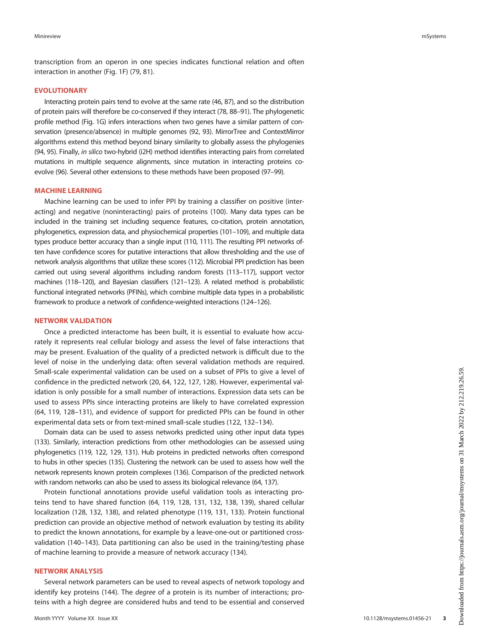transcription from an operon in one species indicates functional relation and often interaction in another [\(Fig. 1F\)](#page-1-0) [\(79](#page-10-9), [81\)](#page-10-11).

# EVOLUTIONARY

Interacting protein pairs tend to evolve at the same rate [\(46,](#page-9-13) [87](#page-10-17)), and so the distribution of protein pairs will therefore be co-conserved if they interact [\(78,](#page-10-8) [88](#page-10-18)–[91\)](#page-10-19). The phylogenetic profile method ([Fig. 1G\)](#page-1-0) infers interactions when two genes have a similar pattern of conservation (presence/absence) in multiple genomes [\(92,](#page-10-20) [93\)](#page-10-21). MirrorTree and ContextMirror algorithms extend this method beyond binary similarity to globally assess the phylogenies [\(94](#page-10-22), [95\)](#page-10-23). Finally, in silico two-hybrid (i2H) method identifies interacting pairs from correlated mutations in multiple sequence alignments, since mutation in interacting proteins coevolve [\(96\)](#page-10-24). Several other extensions to these methods have been proposed [\(97](#page-10-25)[–](#page-10-26)[99](#page-10-27)).

# MACHINE LEARNING

Machine learning can be used to infer PPI by training a classifier on positive (interacting) and negative (noninteracting) pairs of proteins [\(100](#page-10-28)). Many data types can be included in the training set including sequence features, co-citation, protein annotation, phylogenetics, expression data, and physiochemical properties [\(101](#page-10-29)–[109\)](#page-10-30), and multiple data types produce better accuracy than a single input [\(110](#page-10-31), [111\)](#page-10-32). The resulting PPI networks often have confidence scores for putative interactions that allow thresholding and the use of network analysis algorithms that utilize these scores [\(112\)](#page-10-33). Microbial PPI prediction has been carried out using several algorithms including random forests ([113](#page-10-34)–[117\)](#page-11-0), support vector machines [\(118](#page-11-1)[–](#page-11-2)[120](#page-11-3)), and Bayesian classifiers [\(121](#page-11-4)[–](#page-11-5)[123](#page-11-6)). A related method is probabilistic functional integrated networks (PFINs), which combine multiple data types in a probabilistic framework to produce a network of confidence-weighted interactions [\(124](#page-11-7)[–](#page-11-8)[126](#page-11-9)).

## NETWORK VALIDATION

Once a predicted interactome has been built, it is essential to evaluate how accurately it represents real cellular biology and assess the level of false interactions that may be present. Evaluation of the quality of a predicted network is difficult due to the level of noise in the underlying data: often several validation methods are required. Small-scale experimental validation can be used on a subset of PPIs to give a level of confidence in the predicted network ([20,](#page-8-10) [64](#page-9-29), [122](#page-11-5), [127](#page-11-10), [128\)](#page-11-11). However, experimental validation is only possible for a small number of interactions. Expression data sets can be used to assess PPIs since interacting proteins are likely to have correlated expression ([64,](#page-9-29) [119,](#page-11-2) [128](#page-11-11)–[131\)](#page-11-12), and evidence of support for predicted PPIs can be found in other experimental data sets or from text-mined small-scale studies ([122,](#page-11-5) [132](#page-11-13)[–](#page-11-14)[134](#page-11-15)).

Domain data can be used to assess networks predicted using other input data types [\(133\)](#page-11-14). Similarly, interaction predictions from other methodologies can be assessed using phylogenetics [\(119](#page-11-2), [122](#page-11-5), [129](#page-11-16), [131](#page-11-12)). Hub proteins in predicted networks often correspond to hubs in other species [\(135](#page-11-17)). Clustering the network can be used to assess how well the network represents known protein complexes [\(136](#page-11-18)). Comparison of the predicted network with random networks can also be used to assess its biological relevance [\(64](#page-9-29), [137](#page-11-19)).

Protein functional annotations provide useful validation tools as interacting proteins tend to have shared function ([64,](#page-9-29) [119,](#page-11-2) [128,](#page-11-11) [131](#page-11-12), [132](#page-11-13), [138](#page-11-20), [139](#page-11-21)), shared cellular localization ([128](#page-11-11), [132](#page-11-13), [138\)](#page-11-20), and related phenotype ([119](#page-11-2), [131](#page-11-12), [133](#page-11-14)). Protein functional prediction can provide an objective method of network evaluation by testing its ability to predict the known annotations, for example by a leave-one-out or partitioned crossvalidation ([140](#page-11-22)–[143](#page-11-23)). Data partitioning can also be used in the training/testing phase of machine learning to provide a measure of network accuracy [\(134](#page-11-15)).

# NETWORK ANALYSIS

Several network parameters can be used to reveal aspects of network topology and identify key proteins ([144](#page-11-24)). The *degree* of a protein is its number of interactions; proteins with a high degree are considered hubs and tend to be essential and conserved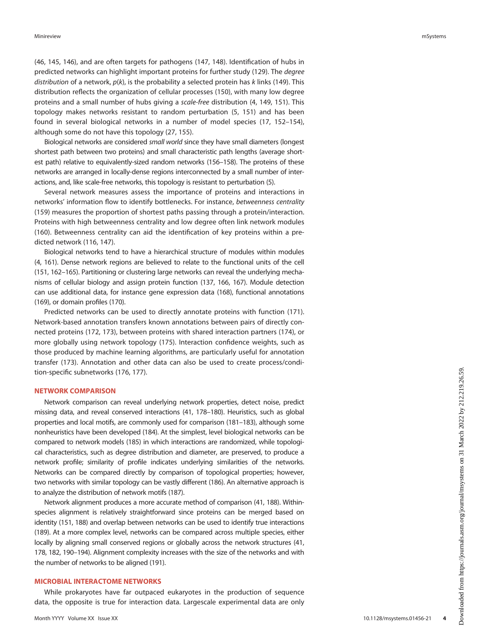([46,](#page-9-13) [145](#page-11-25), [146\)](#page-11-26), and are often targets for pathogens [\(147](#page-11-27), [148](#page-11-28)). Identification of hubs in predicted networks can highlight important proteins for further study ([129\)](#page-11-16). The degree distribution of a network,  $p(k)$ , is the probability a selected protein has k links [\(149](#page-11-29)). This distribution reflects the organization of cellular processes ([150\)](#page-11-30), with many low degree proteins and a small number of hubs giving a scale-free distribution [\(4,](#page-8-17) [149](#page-11-29), [151\)](#page-11-31). This topology makes networks resistant to random perturbation ([5](#page-8-2), [151](#page-11-31)) and has been found in several biological networks in a number of model species [\(17](#page-8-7), [152](#page-11-32)[–](#page-11-33)[154\)](#page-11-34), although some do not have this topology [\(27,](#page-8-14) [155](#page-12-0)).

Biological networks are considered small world since they have small diameters (longest shortest path between two proteins) and small characteristic path lengths (average shortest path) relative to equivalently-sized random networks [\(156](#page-12-1)[–](#page-12-2)[158](#page-12-3)). The proteins of these networks are arranged in locally-dense regions interconnected by a small number of interactions, and, like scale-free networks, this topology is resistant to perturbation [\(5](#page-8-2)).

Several network measures assess the importance of proteins and interactions in networks' information flow to identify bottlenecks. For instance, betweenness centrality ([159](#page-12-4)) measures the proportion of shortest paths passing through a protein/interaction. Proteins with high betweenness centrality and low degree often link network modules ([160](#page-12-5)). Betweenness centrality can aid the identification of key proteins within a predicted network [\(116,](#page-11-35) [147\)](#page-11-27).

Biological networks tend to have a hierarchical structure of modules within modules [\(4,](#page-8-17) [161](#page-12-6)). Dense network regions are believed to relate to the functional units of the cell [\(151,](#page-11-31) [162](#page-12-7)–[165\)](#page-12-8). Partitioning or clustering large networks can reveal the underlying mechanisms of cellular biology and assign protein function [\(137](#page-11-19), [166,](#page-12-9) [167](#page-12-10)). Module detection can use additional data, for instance gene expression data [\(168](#page-12-11)), functional annotations [\(169\)](#page-12-12), or domain profiles ([170\)](#page-12-13).

Predicted networks can be used to directly annotate proteins with function ([171\)](#page-12-14). Network-based annotation transfers known annotations between pairs of directly connected proteins ([172,](#page-12-15) [173\)](#page-12-16), between proteins with shared interaction partners [\(174](#page-12-17)), or more globally using network topology ([175\)](#page-12-18). Interaction confidence weights, such as those produced by machine learning algorithms, are particularly useful for annotation transfer ([173\)](#page-12-16). Annotation and other data can also be used to create process/condition-specific subnetworks [\(176](#page-12-19), [177](#page-12-20)).

# NETWORK COMPARISON

Network comparison can reveal underlying network properties, detect noise, predict missing data, and reveal conserved interactions [\(41,](#page-9-30) [178](#page-12-21)[–](#page-12-22)[180\)](#page-12-23). Heuristics, such as global properties and local motifs, are commonly used for comparison [\(181](#page-12-24)[–](#page-12-25)[183](#page-12-26)), although some nonheuristics have been developed [\(184](#page-12-27)). At the simplest, level biological networks can be compared to network models [\(185\)](#page-12-28) in which interactions are randomized, while topological characteristics, such as degree distribution and diameter, are preserved, to produce a network profile; similarity of profile indicates underlying similarities of the networks. Networks can be compared directly by comparison of topological properties; however, two networks with similar topology can be vastly different [\(186](#page-12-29)). An alternative approach is to analyze the distribution of network motifs ([187\)](#page-12-30).

Network alignment produces a more accurate method of comparison [\(41,](#page-9-30) [188](#page-12-31)). Withinspecies alignment is relatively straightforward since proteins can be merged based on identity [\(151](#page-11-31), [188\)](#page-12-31) and overlap between networks can be used to identify true interactions [\(189\)](#page-12-32). At a more complex level, networks can be compared across multiple species, either locally by aligning small conserved regions or globally across the network structures [\(41](#page-9-30), [178](#page-12-21), [182,](#page-12-25) [190](#page-12-33)–[194](#page-12-34)). Alignment complexity increases with the size of the networks and with the number of networks to be aligned ([191](#page-12-35)).

#### MICROBIAL INTERACTOME NETWORKS

While prokaryotes have far outpaced eukaryotes in the production of sequence data, the opposite is true for interaction data. Largescale experimental data are only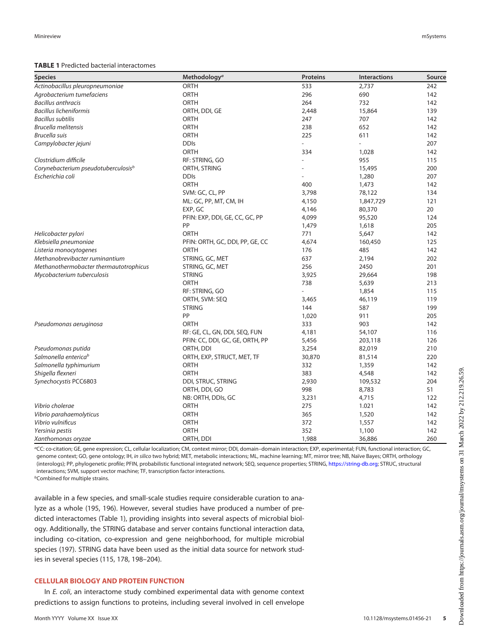## <span id="page-4-0"></span>TABLE 1 Predicted bacterial interactomes

| <b>Species</b>                                  | Methodology <sup>a</sup>        | <b>Proteins</b> | Interactions | Source |
|-------------------------------------------------|---------------------------------|-----------------|--------------|--------|
| Actinobacillus pleuropneumoniae                 | ORTH                            | 533             | 2,737        | 242    |
| Agrobacterium tumefaciens                       | <b>ORTH</b>                     | 296             | 690          | 142    |
| <b>Bacillus anthracis</b>                       | <b>ORTH</b>                     | 264             | 732          | 142    |
| <b>Bacillus licheniformis</b>                   | ORTH, DDI, GE                   | 2,448           | 15,864       | 139    |
| <b>Bacillus subtilis</b>                        | <b>ORTH</b>                     | 247             | 707          | 142    |
| <b>Brucella melitensis</b>                      | <b>ORTH</b>                     | 238             | 652          | 142    |
| <b>Brucella suis</b>                            | <b>ORTH</b>                     | 225             | 611          | 142    |
| Campylobacter jejuni                            | <b>DDIs</b>                     |                 |              | 207    |
|                                                 | <b>ORTH</b>                     | 334             | 1,028        | 142    |
| Clostridium difficile                           | RF: STRING, GO                  |                 | 955          | 115    |
| Corynebacterium pseudotuberculosis <sup>b</sup> | ORTH, STRING                    |                 | 15,495       | 200    |
| Escherichia coli                                | <b>DDIs</b>                     |                 | 1,280        | 207    |
|                                                 | <b>ORTH</b>                     | 400             | 1,473        | 142    |
|                                                 | SVM: GC, CL, PP                 | 3,798           | 78,122       | 134    |
|                                                 | ML: GC, PP, MT, CM, IH          | 4,150           | 1,847,729    | 121    |
|                                                 | EXP, GC                         | 4,146           | 80,370       | 20     |
|                                                 | PFIN: EXP, DDI, GE, CC, GC, PP  | 4,099           | 95,520       | 124    |
|                                                 | PP                              | 1,479           | 1,618        | 205    |
| Helicobacter pylori                             | <b>ORTH</b>                     | 771             | 5,647        | 142    |
| Klebsiella pneumoniae                           | PFIN: ORTH, GC, DDI, PP, GE, CC | 4,674           | 160,450      | 125    |
| Listeria monocytogenes                          | ORTH                            | 176             | 485          | 142    |
| Methanobrevibacter ruminantium                  | STRING, GC, MET                 | 637             | 2,194        | 202    |
| Methanothermobacter thermautotrophicus          | STRING, GC, MET                 | 256             | 2450         | 201    |
| Mycobacterium tuberculosis                      | <b>STRING</b>                   | 3,925           | 29,664       | 198    |
|                                                 | <b>ORTH</b>                     | 738             | 5,639        | 213    |
|                                                 | RF: STRING, GO                  |                 | 1,854        | 115    |
|                                                 | ORTH, SVM: SEQ                  | 3,465           | 46,119       | 119    |
|                                                 | <b>STRING</b>                   | 144             | 587          | 199    |
|                                                 | PP                              | 1,020           | 911          | 205    |
| Pseudomonas aeruginosa                          | ORTH                            | 333             | 903          | 142    |
|                                                 | RF: GE, CL, GN, DDI, SEQ, FUN   | 4,181           | 54,107       | 116    |
|                                                 | PFIN: CC, DDI, GC, GE, ORTH, PP | 5,456           | 203,118      | 126    |
| Pseudomonas putida                              | ORTH, DDI                       | 3,254           | 82,019       | 210    |
| Salmonella enterica <sup>b</sup>                | ORTH, EXP, STRUCT, MET, TF      | 30,870          | 81,514       | 220    |
| Salmonella typhimurium                          | <b>ORTH</b>                     | 332             | 1,359        | 142    |
| Shigella flexneri                               | <b>ORTH</b>                     | 383             | 4,548        | 142    |
| Synechocystis PCC6803                           | DDI, STRUC, STRING              | 2,930           | 109,532      | 204    |
|                                                 | ORTH, DDI, GO                   | 998             | 8,783        | 51     |
|                                                 | NB: ORTH, DDIs, GC              | 3,231           | 4,715        | 122    |
| Vibrio cholerae                                 | <b>ORTH</b>                     | 275             | 1.021        | 142    |
| Vibrio parahaemolyticus                         | <b>ORTH</b>                     | 365             | 1,520        | 142    |
| Vibrio vulnificus                               | ORTH                            | 372             | 1,557        | 142    |
| Yersinia pestis                                 | <b>ORTH</b>                     | 352             | 1,100        | 142    |
| Xanthomonas oryzae                              | ORTH, DDI                       | 1,988           | 36,886       | 260    |

<sup>a</sup>CC: co-citation; GE, gene expression; CL, cellular localization; CM, context mirror; DDI, domain–domain interaction; EXP, experimental; FUN, functional interaction; GC, genome context; GO, gene ontology; IH, in silico two hybrid; MET, metabolic interactions; ML, machine learning; MT, mirror tree; NB, Naïve Bayes; ORTH, orthology (interologs); PP, phylogenetic profile; PFIN, probabilistic functional integrated network; SEQ, sequence properties; STRING, <https://string-db.org>; STRUC, structural interactions; SVM, support vector machine; TF, transcription factor interactions.

*b***Combined for multiple strains.** 

available in a few species, and small-scale studies require considerable curation to analyze as a whole ([195](#page-12-36), [196](#page-12-37)). However, several studies have produced a number of predicted interactomes ([Table 1\)](#page-4-0), providing insights into several aspects of microbial biology. Additionally, the STRING database and server contains functional interaction data, including co-citation, co-expression and gene neighborhood, for multiple microbial species ([197](#page-12-38)). STRING data have been used as the initial data source for network studies in several species ([115](#page-11-36), [178](#page-12-21), [198](#page-12-39)–[204\)](#page-13-0).

# CELLULAR BIOLOGY AND PROTEIN FUNCTION

In E. coli, an interactome study combined experimental data with genome context predictions to assign functions to proteins, including several involved in cell envelope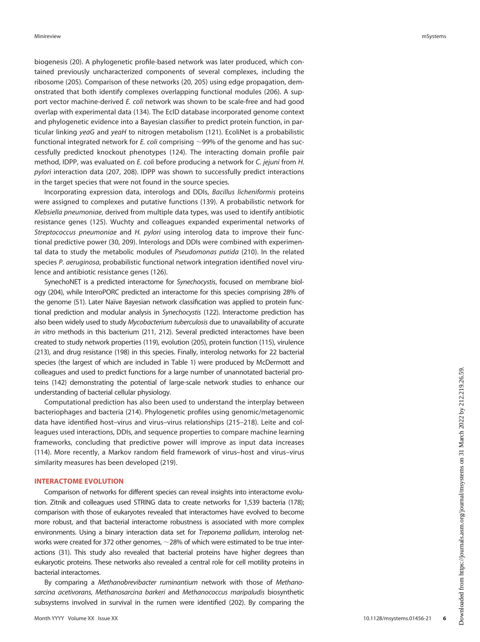biogenesis ([20\)](#page-8-10). A phylogenetic profile-based network was later produced, which contained previously uncharacterized components of several complexes, including the ribosome [\(205](#page-13-3)). Comparison of these networks ([20,](#page-8-10) [205\)](#page-13-3) using edge propagation, demonstrated that both identify complexes overlapping functional modules ([206](#page-13-9)). A support vector machine-derived E. coli network was shown to be scale-free and had good overlap with experimental data [\(134](#page-11-15)). The EcID database incorporated genome context and phylogenetic evidence into a Bayesian classifier to predict protein function, in par-ticular linking yeaG and yeaH to nitrogen metabolism [\(121](#page-11-4)). EcoliNet is a probabilistic functional integrated network for E. coli comprising  $\sim$ 99% of the genome and has successfully predicted knockout phenotypes [\(124](#page-11-7)). The interacting domain profile pair method, IDPP, was evaluated on E. coli before producing a network for C. jejuni from H. pylori interaction data ([207,](#page-13-1) [208](#page-13-10)). IDPP was shown to successfully predict interactions in the target species that were not found in the source species.

Incorporating expression data, interologs and DDIs, Bacillus licheniformis proteins were assigned to complexes and putative functions ([139\)](#page-11-21). A probabilistic network for Klebsiella pneumoniae, derived from multiple data types, was used to identify antibiotic resistance genes [\(125](#page-11-8)). Wuchty and colleagues expanded experimental networks of Streptococcus pneumoniae and H. pylori using interolog data to improve their functional predictive power [\(30](#page-9-1), [209\)](#page-13-11). Interologs and DDIs were combined with experimental data to study the metabolic modules of Pseudomonas putida ([210\)](#page-13-7). In the related species P. aeruginosa, probabilistic functional network integration identified novel virulence and antibiotic resistance genes [\(126](#page-11-9)).

SynechoNET is a predicted interactome for Synechocystis, focused on membrane biology [\(204](#page-13-0)), while InteroPORC predicted an interactome for this species comprising 28% of the genome [\(51\)](#page-9-31). Later Naïve Bayesian network classification was applied to protein functional prediction and modular analysis in Synechocystis ([122\)](#page-11-5). Interactome prediction has also been widely used to study Mycobacterium tuberculosis due to unavailability of accurate in vitro methods in this bacterium [\(211](#page-13-12), [212\)](#page-13-13). Several predicted interactomes have been created to study network properties [\(119](#page-11-2)), evolution ([205\)](#page-13-3), protein function [\(115\)](#page-11-36), virulence [\(213\)](#page-13-6), and drug resistance [\(198](#page-12-39)) in this species. Finally, interolog networks for 22 bacterial species (the largest of which are included in [Table 1](#page-4-0)) were produced by McDermott and colleagues and used to predict functions for a large number of unannotated bacterial proteins ([142\)](#page-11-37) demonstrating the potential of large-scale network studies to enhance our understanding of bacterial cellular physiology.

Computational prediction has also been used to understand the interplay between bacteriophages and bacteria ([214\)](#page-13-14). Phylogenetic profiles using genomic/metagenomic data have identified host–virus and virus–virus relationships ([215](#page-13-15)–[218\)](#page-13-16). Leite and colleagues used interactions, DDIs, and sequence properties to compare machine learning frameworks, concluding that predictive power will improve as input data increases ([114](#page-11-38)). More recently, a Markov random field framework of virus–host and virus–virus similarity measures has been developed ([219\)](#page-13-17).

## INTERACTOME EVOLUTION

Comparison of networks for different species can reveal insights into interactome evolution. Zitnik and colleagues used STRING data to create networks for 1,539 bacteria ([178\)](#page-12-21); comparison with those of eukaryotes revealed that interactomes have evolved to become more robust, and that bacterial interactome robustness is associated with more complex environments. Using a binary interaction data set for Treponema pallidum, interolog networks were created for 372 other genomes,  $\sim$  28% of which were estimated to be true interactions [\(31\)](#page-9-2). This study also revealed that bacterial proteins have higher degrees than eukaryotic proteins. These networks also revealed a central role for cell motility proteins in bacterial interactomes.

By comparing a Methanobrevibacter ruminantium network with those of Methanosarcina acetivorans, Methanosarcina barkeri and Methanococcus maripaludis biosynthetic subsystems involved in survival in the rumen were identified ([202\)](#page-13-4). By comparing the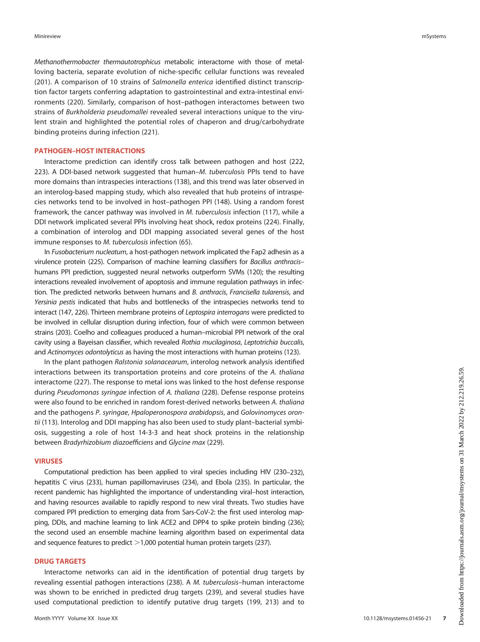Methanothermobacter thermautotrophicus metabolic interactome with those of metalloving bacteria, separate evolution of niche-specific cellular functions was revealed ([201\)](#page-13-5). A comparison of 10 strains of Salmonella enterica identified distinct transcription factor targets conferring adaptation to gastrointestinal and extra-intestinal environments ([220\)](#page-13-8). Similarly, comparison of host–pathogen interactomes between two strains of Burkholderia pseudomallei revealed several interactions unique to the virulent strain and highlighted the potential roles of chaperon and drug/carbohydrate binding proteins during infection [\(221](#page-13-18)).

# PATHOGEN–HOST INTERACTIONS

Interactome prediction can identify cross talk between pathogen and host [\(222](#page-13-19), [223\)](#page-13-20). A DDI-based network suggested that human–M. tuberculosis PPIs tend to have more domains than intraspecies interactions ([138\)](#page-11-20), and this trend was later observed in an interolog-based mapping study, which also revealed that hub proteins of intraspecies networks tend to be involved in host–pathogen PPI ([148\)](#page-11-28). Using a random forest framework, the cancer pathway was involved in M. tuberculosis infection ([117\)](#page-11-0), while a DDI network implicated several PPIs involving heat shock, redox proteins [\(224\)](#page-13-21). Finally, a combination of interolog and DDI mapping associated several genes of the host immune responses to M. tuberculosis infection ([65](#page-9-32)).

In Fusobacterium nucleatum, a host-pathogen network implicated the Fap2 adhesin as a virulence protein [\(225](#page-13-22)). Comparison of machine learning classifiers for Bacillus anthracis– humans PPI prediction, suggested neural networks outperform SVMs ([120\)](#page-11-3); the resulting interactions revealed involvement of apoptosis and immune regulation pathways in infection. The predicted networks between humans and B. anthracis, Francisella tularensis, and Yersinia pestis indicated that hubs and bottlenecks of the intraspecies networks tend to interact [\(147](#page-11-27), [226](#page-13-23)). Thirteen membrane proteins of Leptospira interrogans were predicted to be involved in cellular disruption during infection, four of which were common between strains [\(203](#page-13-24)). Coelho and colleagues produced a human–microbial PPI network of the oral cavity using a Bayeisan classifier, which revealed Rothia mucilaginosa, Leptotrichia buccalis, and Actinomyces odontolyticus as having the most interactions with human proteins [\(123](#page-11-6)).

In the plant pathogen Ralstonia solanacearum, interolog network analysis identified interactions between its transportation proteins and core proteins of the A. thaliana interactome ([227\)](#page-13-25). The response to metal ions was linked to the host defense response during Pseudomonas syringae infection of A. thaliana ([228](#page-13-26)). Defense response proteins were also found to be enriched in random forest-derived networks between A. thaliana and the pathogens P. syringae, Hpaloperonospora arabidopsis, and Golovinomyces oron-tii ([113\)](#page-10-34). Interolog and DDI mapping has also been used to study plant–bacterial symbiosis, suggesting a role of host 14-3-3 and heat shock proteins in the relationship between Bradyrhizobium diazoefficiens and Glycine max [\(229\)](#page-13-27).

## VIRUSES

Computational prediction has been applied to viral species including HIV [\(230](#page-13-28)[–](#page-13-29)[232\)](#page-13-30), hepatitis C virus [\(233](#page-13-31)), human papillomaviruses ([234\)](#page-13-32), and Ebola ([235\)](#page-13-33). In particular, the recent pandemic has highlighted the importance of understanding viral–host interaction, and having resources available to rapidly respond to new viral threats. Two studies have compared PPI prediction to emerging data from Sars-CoV-2: the first used interolog mapping, DDIs, and machine learning to link ACE2 and DPP4 to spike protein binding ([236\)](#page-13-34); the second used an ensemble machine learning algorithm based on experimental data and sequence features to predict  $>1,000$  potential human protein targets [\(237](#page-13-35)).

## DRUG TARGETS

Interactome networks can aid in the identification of potential drug targets by revealing essential pathogen interactions ([238\)](#page-13-36). A M. tuberculosis–human interactome was shown to be enriched in predicted drug targets [\(239](#page-13-37)), and several studies have used computational prediction to identify putative drug targets ([199](#page-12-40), [213](#page-13-6)) and to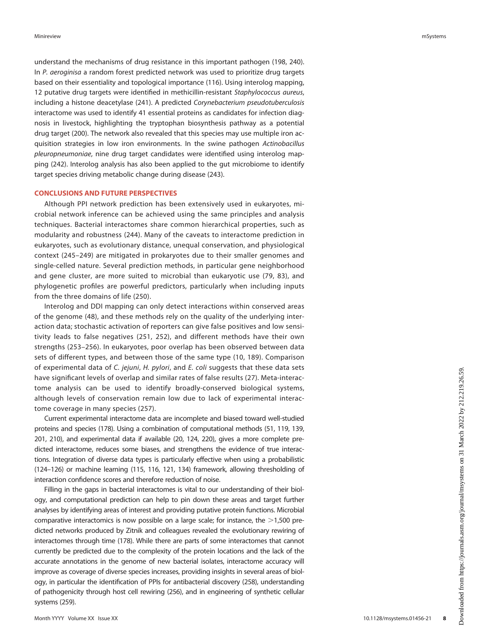understand the mechanisms of drug resistance in this important pathogen [\(198](#page-12-39), [240\)](#page-14-2). In P. aeroginisa a random forest predicted network was used to prioritize drug targets based on their essentiality and topological importance ([116](#page-11-35)). Using interolog mapping, 12 putative drug targets were identified in methicillin-resistant Staphylococcus aureus, including a histone deacetylase ([241\)](#page-14-3). A predicted Corynebacterium pseudotuberculosis interactome was used to identify 41 essential proteins as candidates for infection diagnosis in livestock, highlighting the tryptophan biosynthesis pathway as a potential drug target ([200\)](#page-13-2). The network also revealed that this species may use multiple iron acquisition strategies in low iron environments. In the swine pathogen Actinobacillus pleuropneumoniae, nine drug target candidates were identified using interolog mapping ([242](#page-14-0)). Interolog analysis has also been applied to the gut microbiome to identify target species driving metabolic change during disease [\(243](#page-14-4)).

## CONCLUSIONS AND FUTURE PERSPECTIVES

Although PPI network prediction has been extensively used in eukaryotes, microbial network inference can be achieved using the same principles and analysis techniques. Bacterial interactomes share common hierarchical properties, such as modularity and robustness ([244](#page-14-5)). Many of the caveats to interactome prediction in eukaryotes, such as evolutionary distance, unequal conservation, and physiological context ([245](#page-14-6)–[249](#page-14-7)) are mitigated in prokaryotes due to their smaller genomes and single-celled nature. Several prediction methods, in particular gene neighborhood and gene cluster, are more suited to microbial than eukaryotic use ([79,](#page-10-9) [83\)](#page-10-13), and phylogenetic profiles are powerful predictors, particularly when including inputs from the three domains of life ([250\)](#page-14-8).

Interolog and DDI mapping can only detect interactions within conserved areas of the genome [\(48\)](#page-9-15), and these methods rely on the quality of the underlying interaction data; stochastic activation of reporters can give false positives and low sensitivity leads to false negatives [\(251,](#page-14-9) [252](#page-14-10)), and different methods have their own strengths ([253](#page-14-11)–[256](#page-14-12)). In eukaryotes, poor overlap has been observed between data sets of different types, and between those of the same type ([10,](#page-8-18) [189\)](#page-12-32). Comparison of experimental data of C. jejuni, H. pylori, and E. coli suggests that these data sets have significant levels of overlap and similar rates of false results [\(27](#page-8-14)). Meta-interactome analysis can be used to identify broadly-conserved biological systems, although levels of conservation remain low due to lack of experimental interactome coverage in many species ([257\)](#page-14-13).

Current experimental interactome data are incomplete and biased toward well-studied proteins and species [\(178\)](#page-12-21). Using a combination of computational methods ([51,](#page-9-31) [119](#page-11-2), [139](#page-11-21), [201](#page-13-5), [210\)](#page-13-7), and experimental data if available ([20](#page-8-10), [124,](#page-11-7) [220](#page-13-8)), gives a more complete predicted interactome, reduces some biases, and strengthens the evidence of true interactions. Integration of diverse data types is particularly effective when using a probabilistic [\(124](#page-11-7)[–](#page-11-8)[126](#page-11-9)) or machine learning [\(115](#page-11-36), [116](#page-11-35), [121,](#page-11-4) [134](#page-11-15)) framework, allowing thresholding of interaction confidence scores and therefore reduction of noise.

Filling in the gaps in bacterial interactomes is vital to our understanding of their biology, and computational prediction can help to pin down these areas and target further analyses by identifying areas of interest and providing putative protein functions. Microbial comparative interactomics is now possible on a large scale; for instance, the  $>1,500$  predicted networks produced by Zitnik and colleagues revealed the evolutionary rewiring of interactomes through time ([178](#page-12-21)). While there are parts of some interactomes that cannot currently be predicted due to the complexity of the protein locations and the lack of the accurate annotations in the genome of new bacterial isolates, interactome accuracy will improve as coverage of diverse species increases, providing insights in several areas of biology, in particular the identification of PPIs for antibacterial discovery ([258\)](#page-14-14), understanding of pathogenicity through host cell rewiring [\(256](#page-14-12)), and in engineering of synthetic cellular systems [\(259](#page-14-15)).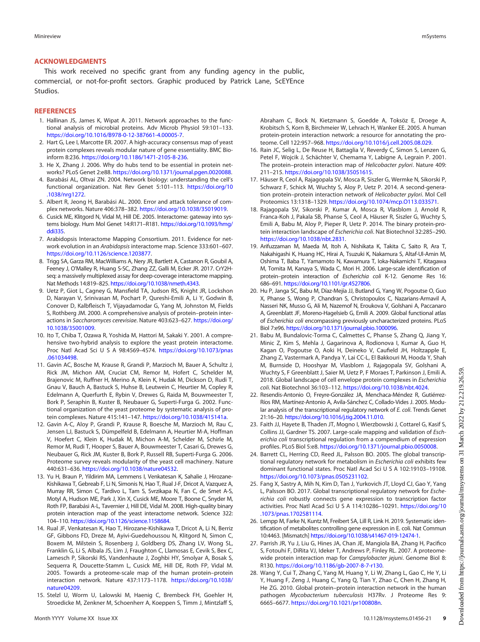## ACKNOWLEDGMENTS

This work received no specific grant from any funding agency in the public, commercial, or not-for-profit sectors. Graphic produced by Patrick Lane, ScEYEnce Studios.

## **REFERENCES**

- <span id="page-8-0"></span>1. Hallinan JS, James K, Wipat A. 2011. Network approaches to the functional analysis of microbial proteins. Adv Microb Physiol 59:101–133. <https://doi.org/10.1016/B978-0-12-387661-4.00005-7>.
- <span id="page-8-1"></span>2. Hart G, Lee I, Marcotte ER. 2007. A high-accuracy consensus map of yeast protein complexes reveals modular nature of gene essentiality. BMC Bioinform 8:236. [https://doi.org/10.1186/1471-2105-8-236.](https://doi.org/10.1186/1471-2105-8-236)
- <span id="page-8-16"></span>3. He X, Zhang J. 2006. Why do hubs tend to be essential in protein networks? PLoS Genet 2:e88. [https://doi.org/10.1371/journal.pgen.0020088.](https://doi.org/10.1371/journal.pgen.0020088)
- <span id="page-8-17"></span>4. Barabási AL, Oltvai ZN. 2004. Network biology: understanding the cell's functional organization. Nat Rev Genet 5:101–113. [https://doi.org/10](https://doi.org/10.1038/nrg1272) [.1038/nrg1272.](https://doi.org/10.1038/nrg1272)
- <span id="page-8-2"></span>5. Albert R, Jeong H, Barabási AL. 2000. Error and attack tolerance of complex networks. Nature 406:378–382. <https://doi.org/10.1038/35019019>.
- <span id="page-8-3"></span>6. Cusick ME, Klitgord N, Vidal M, Hill DE. 2005. Interactome: gateway into systems biology. Hum Mol Genet 14:R171–R181. [https://doi.org/10.1093/hmg/](https://doi.org/10.1093/hmg/ddi335) [ddi335.](https://doi.org/10.1093/hmg/ddi335)
- <span id="page-8-4"></span>7. Arabidopsis Interactome Mapping Consortium. 2011. Evidence for network evolution in an Arabidopsis interactome map. Science 333:601–607. [https://doi.org/10.1126/science.1203877.](https://doi.org/10.1126/science.1203877)
- 8. Trigg SA, Garza RM, MacWilliams A, Nery JR, Bartlett A, Castanon R, Goubil A, Feeney J, O'Malley R, Huang S-SC, Zhang ZZ, Galli M, Ecker JR. 2017. CrY2Hseq: a massively multiplexed assay for deep-coverage interactome mapping. Nat Methods 14:819–825. <https://doi.org/10.1038/nmeth.4343>.
- 9. Uetz P, Giot L, Cagney G, Mansfield TA, Judson RS, Knight JR, Lockshon D, Narayan V, Srinivasan M, Pochart P, Qureshi-Emili A, Li Y, Godwin B, Conover D, Kalbfleisch T, Vijayadamodar G, Yang M, Johnston M, Fields S, Rothberg JM. 2000. A comprehensive analysis of protein–protein interactions in Saccharomyces cerevisiae. Nature 403:623–627. [https://doi.org/](https://doi.org/10.1038/35001009) [10.1038/35001009.](https://doi.org/10.1038/35001009)
- <span id="page-8-18"></span>10. Ito T, Chiba T, Ozawa R, Yoshida M, Hattori M, Sakaki Y. 2001. A comprehensive two-hybrid analysis to explore the yeast protein interactome. Proc Natl Acad Sci U S A 98:4569–4574. [https://doi.org/10.1073/pnas](https://doi.org/10.1073/pnas.061034498) [.061034498](https://doi.org/10.1073/pnas.061034498).
- 11. Gavin AC, Bosche M, Krause R, Grandi P, Marzioch M, Bauer A, Schultz J, Rick JM, Michon AM, Cruciat CM, Remor M, Hofert C, Schelder M, Brajenovic M, Ruffner H, Merino A, Klein K, Hudak M, Dickson D, Rudi T, Gnau V, Bauch A, Bastuck S, Huhse B, Leutwein C, Heurtier M, Copley R, Edelmann A, Querfurth E, Rybin V, Drewes G, Raida M, Bouwmeester T, Bork P, Seraphin B, Kuster B, Neubauer G, Superti-Furga G. 2002. Functional organization of the yeast proteome by systematic analysis of protein complexes. Nature 415:141–147. <https://doi.org/10.1038/415141a>.
- 12. Gavin A-C, Aloy P, Grandi P, Krause R, Boesche M, Marzioch M, Rau C, Jensen LJ, Bastuck S, Dümpelfeld B, Edelmann A, Heurtier M-A, Hoffman V, Hoefert C, Klein K, Hudak M, Michon A-M, Schelder M, Schirle M, Remor M, Rudi T, Hooper S, Bauer A, Bouwmeester T, Casari G, Drewes G, Neubauer G, Rick JM, Kuster B, Bork P, Russell RB, Superti-Furga G. 2006. Proteome survey reveals modularity of the yeast cell machinery. Nature 440:631–636. <https://doi.org/10.1038/nature04532>.
- 13. Yu H, Braun P, Yildirim MA, Lemmens I, Venkatesan K, Sahalie J, Hirozane-Kishikawa T, Gebreab F, Li N, Simonis N, Hao T, Rual J-F, Dricot A, Vazquez A, Murray RR, Simon C, Tardivo L, Tam S, Svrzikapa N, Fan C, de Smet A-S, Motyl A, Hudson ME, Park J, Xin X, Cusick ME, Moore T, Boone C, Snyder M, Roth FP, Barabási A-L, Tavernier J, Hill DE, Vidal M. 2008. High-quality binary protein interaction map of the yeast interactome network. Science 322: 104–110. <https://doi.org/10.1126/science.1158684>.
- 14. Rual JF, Venkatesan K, Hao T, Hirozane-Kishikawa T, Dricot A, Li N, Berriz GF, Gibbons FD, Dreze M, Ayivi-Guedehoussou N, Klitgord N, Simon C, Boxem M, Milstein S, Rosenberg J, Goldberg DS, Zhang LV, Wong SL, Franklin G, Li S, Albala JS, Lim J, Fraughton C, Llamosas E, Cevik S, Bex C, Lamesch P, Sikorski RS, Vandenhaute J, Zoghbi HY, Smolyar A, Bosak S, Sequerra R, Doucette-Stamm L, Cusick ME, Hill DE, Roth FP, Vidal M. 2005. Towards a proteome-scale map of the human protein–protein interaction network. Nature 437:1173–1178. [https://doi.org/10.1038/](https://doi.org/10.1038/nature04209) [nature04209](https://doi.org/10.1038/nature04209).
- <span id="page-8-5"></span>15. Stelzl U, Worm U, Lalowski M, Haenig C, Brembeck FH, Goehler H, Stroedicke M, Zenkner M, Schoenherr A, Koeppen S, Timm J, Mintzlaff S,

Abraham C, Bock N, Kietzmann S, Goedde A, Toksöz E, Droege A, Krobitsch S, Korn B, Birchmeier W, Lehrach H, Wanker EE. 2005. A human protein-protein interaction network: a resource for annotating the proteome. Cell 122:957–968. [https://doi.org/10.1016/j.cell.2005.08.029.](https://doi.org/10.1016/j.cell.2005.08.029)

- <span id="page-8-6"></span>16. Rain JC, Selig L, De Reuse H, Battaglia V, Reverdy C, Simon S, Lenzen G, Petel F, Wojcik J, Schächter V, Chemama Y, Labigne A, Legrain P. 2001. The protein–protein interaction map of Helicobacter pylori. Nature 409: 211–215. <https://doi.org/10.1038/35051615>.
- <span id="page-8-7"></span>17. Häuser R, Ceol A, Rajagopala SV, Mosca R, Siszler G, Wermke N, Sikorski P, Schwarz F, Schick M, Wuchty S, Aloy P, Uetz P. 2014. A second-generation protein–protein interaction network of Helicobacter pylori. Mol Cell Proteomics 13:1318–1329. <https://doi.org/10.1074/mcp.O113.033571>.
- <span id="page-8-8"></span>18. Rajagopala SV, Sikorski P, Kumar A, Mosca R, Vlasblom J, Arnold R, Franca-Koh J, Pakala SB, Phanse S, Ceol A, Häuser R, Siszler G, Wuchty S, Emili A, Babu M, Aloy P, Pieper R, Uetz P. 2014. The binary protein-protein interaction landscape of Escherichia coli. Nat Biotechnol 32:285–290. <https://doi.org/10.1038/nbt.2831>.
- <span id="page-8-9"></span>19. Arifuzzaman M, Maeda M, Itoh A, Nishikata K, Takita C, Saito R, Ara T, Nakahigashi K, Huang HC, Hirai A, Tsuzuki K, Nakamura S, Altaf-Ul-Amin M, Oshima T, Baba T, Yamamoto N, Kawamura T, Ioka-Nakamichi T, Kitagawa M, Tomita M, Kanaya S, Wada C, Mori H. 2006. Large-scale identification of protein–protein interaction of Escherichia coli K-12. Genome Res 16: 686–691. [https://doi.org/10.1101/gr.4527806.](https://doi.org/10.1101/gr.4527806)
- <span id="page-8-10"></span>20. Hu P, Janga SC, Babu M, Díaz-Mejía JJ, Butland G, Yang W, Pogoutse O, Guo X, Phanse S, Wong P, Chandran S, Christopoulos C, Nazarians-Armavil A, Nasseri NK, Musso G, Ali M, Nazemof N, Eroukova V, Golshani A, Paccanaro A, Greenblatt JF, Moreno-Hagelsieb G, Emili A. 2009. Global functional atlas of Escherichia coli encompassing previously uncharacterized proteins. PLoS Biol 7:e96. [https://doi.org/10.1371/journal.pbio.1000096.](https://doi.org/10.1371/journal.pbio.1000096)
- <span id="page-8-11"></span>21. Babu M, Bundalovic-Torma C, Calmettes C, Phanse S, Zhang Q, Jiang Y, Minic Z, Kim S, Mehla J, Gagarinova A, Rodionova I, Kumar A, Guo H, Kagan O, Pogoutse O, Aoki H, Deineko V, Caufield JH, Holtzapple E, Zhang Z, Vastermark A, Pandya Y, Lai CC-L, El Bakkouri M, Hooda Y, Shah M, Burnside D, Hooshyar M, Vlasblom J, Rajagopala SV, Golshani A, Wuchty S, F Greenblatt J, Saier M, Uetz P, F Moraes T, Parkinson J, Emili A. 2018. Global landscape of cell envelope protein complexes in Escherichia coli. Nat Biotechnol 36:103–112. <https://doi.org/10.1038/nbt.4024>.
- <span id="page-8-12"></span>22. Resendis-Antonio O, Freyre-González JA, Menchaca-Méndez R, Gutiérrez-Ríos RM, Martínez-Antonio A, Avila-Sánchez C, Collado-Vides J. 2005. Modular analysis of the transcriptional regulatory network of E. coli. Trends Genet 21:16–20. [https://doi.org/10.1016/j.tig.2004.11.010.](https://doi.org/10.1016/j.tig.2004.11.010)
- 23. Faith JJ, Hayete B, Thaden JT, Mogno I, Wierzbowski J, Cottarel G, Kasif S, Collins JJ, Gardner TS. 2007. Large-scale mapping and validation of Escherichia coli transcriptional regulation from a compendium of expression profiles. PLoS Biol 5:e8. <https://doi.org/10.1371/journal.pbio.0050008>.
- 24. Barrett CL, Herring CD, Reed JL, Palsson BO. 2005. The global transcriptional regulatory network for metabolism in Escherichia coli exhibits few dominant functional states. Proc Natl Acad Sci U S A 102:19103–19108. [https://doi.org/10.1073/pnas.0505231102.](https://doi.org/10.1073/pnas.0505231102)
- 25. Fang X, Sastry A, Mih N, Kim D, Tan J, Yurkovich JT, Lloyd CJ, Gao Y, Yang L, Palsson BO. 2017. Global transcriptional regulatory network for Escherichia coli robustly connects gene expression to transcription factor activities. Proc Natl Acad Sci U S A 114:10286–10291. [https://doi.org/10](https://doi.org/10.1073/pnas.1702581114) [.1073/pnas.1702581114.](https://doi.org/10.1073/pnas.1702581114)
- <span id="page-8-13"></span>26. Lempp M, Farke N, Kuntz M, Freibert SA, Lill R, Link H. 2019. Systematic identification of metabolites controlling gene expression in E. coli. Nat Commun 10:4463. [Mismatch] [https://doi.org/10.1038/s41467-019-12474-1.](https://doi.org/10.1038/s41467-019-12474-1)
- <span id="page-8-14"></span>27. Parrish JR, Yu J, Liu G, Hines JA, Chan JE, Mangiola BA, Zhang H, Pacifico S, Fotouhi F, DiRita VJ, Ideker T, Andrews P, Finley RL. 2007. A proteomewide protein interaction map for Campylobacter jejuni. Genome Biol 8: R130. <https://doi.org/10.1186/gb-2007-8-7-r130>.
- <span id="page-8-15"></span>28. Wang Y, Cui T, Zhang C, Yang M, Huang Y, Li W, Zhang L, Gao C, He Y, Li Y, Huang F, Zeng J, Huang C, Yang Q, Tian Y, Zhao C, Chen H, Zhang H, He ZG. 2010. Global protein–protein interaction network in the human pathogen Mycobacterium tuberculosis H37Rv. J Proteome Res 9: 6665–6677. <https://doi.org/10.1021/pr100808n>.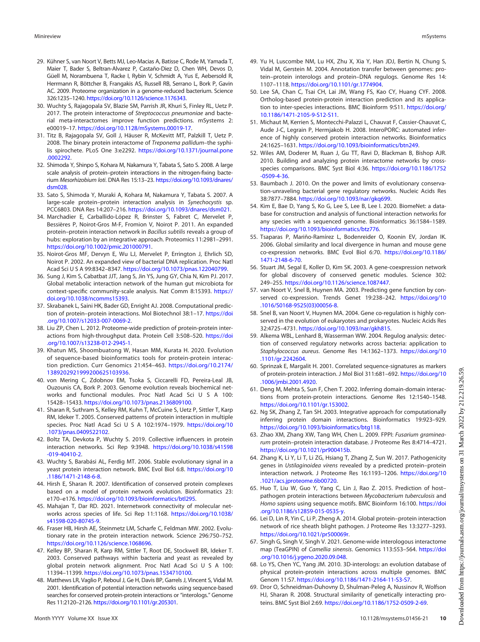- <span id="page-9-0"></span>29. Kühner S, van Noort V, Betts MJ, Leo-Macias A, Batisse C, Rode M, Yamada T, Maier T, Bader S, Beltran-Alvarez P, Castaño-Diez D, Chen WH, Devos D, Güell M, Norambuena T, Racke I, Rybin V, Schmidt A, Yus E, Aebersold R, Herrmann R, Böttcher B, Frangakis AS, Russell RB, Serrano L, Bork P, Gavin AC. 2009. Proteome organization in a genome-reduced bacterium. Science 326:1235–1240. <https://doi.org/10.1126/science.1176343>.
- <span id="page-9-1"></span>30. Wuchty S, Rajagopala SV, Blazie SM, Parrish JR, Khuri S, Finley RL, Uetz P. 2017. The protein interactome of Streptococcus pneumoniae and bacterial meta-interactomes improve function predictions. mSystems 2: e00019–17. [https://doi.org/10.1128/mSystems.00019-17.](https://doi.org/10.1128/mSystems.00019-17)
- <span id="page-9-2"></span>31. Titz B, Rajagopala SV, Goll J, Häuser R, McKevitt MT, Palzkill T, Uetz P. 2008. The binary protein interactome of Treponema pallidum-the syphilis spirochete. PLoS One 3:e2292. [https://doi.org/10.1371/journal.pone](https://doi.org/10.1371/journal.pone.0002292) [.0002292.](https://doi.org/10.1371/journal.pone.0002292)
- <span id="page-9-3"></span>32. Shimoda Y, Shinpo S, Kohara M, Nakamura Y, Tabata S, Sato S. 2008. A large scale analysis of protein–protein interactions in the nitrogen-fixing bacterium Mesorhizobium loti. DNA Res 15:13–23. [https://doi.org/10.1093/dnares/](https://doi.org/10.1093/dnares/dsm028) [dsm028](https://doi.org/10.1093/dnares/dsm028).
- <span id="page-9-4"></span>33. Sato S, Shimoda Y, Muraki A, Kohara M, Nakamura Y, Tabata S. 2007. A large-scale protein–protein interaction analysis in Synechocystis sp. PCC6803. DNA Res 14:207–216. <https://doi.org/10.1093/dnares/dsm021>.
- <span id="page-9-5"></span>34. Marchadier E, Carballido-López R, Brinster S, Fabret C, Mervelet P, Bessières P, Noirot-Gros M-F, Fromion V, Noirot P. 2011. An expanded protein–protein interaction network in Bacillus subtilis reveals a group of hubs: exploration by an integrative approach. Proteomics 11:2981–2991. <https://doi.org/10.1002/pmic.201000791>.
- <span id="page-9-6"></span>35. Noirot-Gros MF, Dervyn E, Wu LJ, Mervelet P, Errington J, Ehrlich SD, Noirot P. 2002. An expanded view of bacterial DNA replication. Proc Natl Acad Sci U S A 99:8342–8347. [https://doi.org/10.1073/pnas.122040799.](https://doi.org/10.1073/pnas.122040799)
- <span id="page-9-7"></span>36. Sung J, Kim S, Cabatbat JJT, Jang S, Jin YS, Jung GY, Chia N, Kim PJ. 2017. Global metabolic interaction network of the human gut microbiota for context-specific community-scale analysis. Nat Comm 8:15393. [https://](https://doi.org/10.1038/ncomms15393) [doi.org/10.1038/ncomms15393.](https://doi.org/10.1038/ncomms15393)
- <span id="page-9-8"></span>37. Skrabanek L, Saini HK, Bader GD, Enright AJ. 2008. Computational prediction of protein–protein interactions. Mol Biotechnol 38:1–17. [https://doi](https://doi.org/10.1007/s12033-007-0069-2) [.org/10.1007/s12033-007-0069-2](https://doi.org/10.1007/s12033-007-0069-2).
- <span id="page-9-9"></span>38. Liu ZP, Chen L. 2012. Proteome-wide prediction of protein-protein interactions from high-throughput data. Protein Cell 3:508–520. [https://doi](https://doi.org/10.1007/s13238-012-2945-1) [.org/10.1007/s13238-012-2945-1](https://doi.org/10.1007/s13238-012-2945-1).
- <span id="page-9-10"></span>39. Khatun MS, Shoombuatong W, Hasan MM, Kurata H. 2020. Evolution of sequence-based bioinformatics tools for protein-protein interaction prediction. Curr Genomics 21:454–463. [https://doi.org/10.2174/](https://doi.org/10.2174/1389202921999200625103936) [1389202921999200625103936.](https://doi.org/10.2174/1389202921999200625103936)
- <span id="page-9-11"></span>40. von Mering C, Zdobnov EM, Tsoka S, Ciccarelli FD, Pereira-Leal JB, Ouzounis CA, Bork P. 2003. Genome evolution reveals biochemical networks and functional modules. Proc Natl Acad Sci U S A 100: 15428–15433. <https://doi.org/10.1073/pnas.2136809100>.
- <span id="page-9-30"></span>41. Sharan R, Suthram S, Kelley RM, Kuhn T, McCuine S, Uetz P, Sittler T, Karp RM, Ideker T. 2005. Conserved patterns of protein interaction in multiple species. Proc Natl Acad Sci U S A 102:1974–1979. [https://doi.org/10](https://doi.org/10.1073/pnas.0409522102) [.1073/pnas.0409522102.](https://doi.org/10.1073/pnas.0409522102)
- 42. Boltz TA, Devkota P, Wuchty S. 2019. Collective influencers in protein interaction networks. Sci Rep 9:3948. [https://doi.org/10.1038/s41598](https://doi.org/10.1038/s41598-019-40410-2) [-019-40410-2.](https://doi.org/10.1038/s41598-019-40410-2)
- 43. Wuchty S, Barabási AL, Ferdig MT. 2006. Stable evolutionary signal in a yeast protein interaction network. BMC Evol Biol 6:8. [https://doi.org/10](https://doi.org/10.1186/1471-2148-6-8) [.1186/1471-2148-6-8](https://doi.org/10.1186/1471-2148-6-8).
- 44. Hirsh E, Sharan R. 2007. Identification of conserved protein complexes based on a model of protein network evolution. Bioinformatics 23: e170–e176. [https://doi.org/10.1093/bioinformatics/btl295.](https://doi.org/10.1093/bioinformatics/btl295)
- <span id="page-9-12"></span>45. Mahajan T, Dar RD. 2021. Internetwork connectivity of molecular networks across species of life. Sci Rep 11:1168. [https://doi.org/10.1038/](https://doi.org/10.1038/s41598-020-80745-9) [s41598-020-80745-9](https://doi.org/10.1038/s41598-020-80745-9).
- <span id="page-9-13"></span>46. Fraser HB, Hirsh AE, Steinmetz LM, Scharfe C, Feldman MW. 2002. Evolutionary rate in the protein interaction network. Science 296:750–752. <https://doi.org/10.1126/science.1068696>.
- <span id="page-9-14"></span>47. Kelley BP, Sharan R, Karp RM, Sittler T, Root DE, Stockwell BR, Ideker T. 2003. Conserved pathways within bacteria and yeast as revealed by global protein network alignment. Proc Natl Acad Sci U S A 100: 11394–11399. <https://doi.org/10.1073/pnas.1534710100>.
- <span id="page-9-15"></span>48. Matthews LR, Vaglio P, Reboul J, Ge H, Davis BP, Garrels J, Vincent S, Vidal M. 2001. Identification of potential interaction networks using sequence-based searches for conserved protein-protein interactions or "interologs." Genome Res 11:2120–2126. <https://doi.org/10.1101/gr.205301>.
- <span id="page-9-17"></span>49. Yu H, Luscombe NM, Lu HX, Zhu X, Xia Y, Han JDJ, Bertin N, Chung S, Vidal M, Gerstein M. 2004. Annotation transfer between genomes: protein–protein interologs and protein–DNA regulogs. Genome Res 14: 1107–1118. <https://doi.org/10.1101/gr.1774904>.
- 50. Lee SA, Chan C, Tsai CH, Lai JM, Wang FS, Kao CY, Huang CYF. 2008. Ortholog-based protein-protein interaction prediction and its application to inter-species interactions. BMC Bioinform 9:S11. [https://doi.org/](https://doi.org/10.1186/1471-2105-9-S12-S11) [10.1186/1471-2105-9-S12-S11](https://doi.org/10.1186/1471-2105-9-S12-S11).
- <span id="page-9-31"></span>51. Michaut M, Kerrien S, Montecchi-Palazzi L, Chauvat F, Cassier-Chauvat C, Aude J-C, Legrain P, Hermjakob H. 2008. InteroPORC: automated inference of highly conserved protein interaction networks. Bioinformatics 24:1625–1631. [https://doi.org/10.1093/bioinformatics/btn249.](https://doi.org/10.1093/bioinformatics/btn249)
- <span id="page-9-16"></span>52. Wiles AM, Doderer M, Ruan J, Gu TT, Ravi D, Blackman B, Bishop AJR. 2010. Building and analyzing protein interactome networks by crossspecies comparisons. BMC Syst Biol 4:36. [https://doi.org/10.1186/1752](https://doi.org/10.1186/1752-0509-4-36) [-0509-4-36](https://doi.org/10.1186/1752-0509-4-36).
- <span id="page-9-18"></span>53. Baumbach J. 2010. On the power and limits of evolutionary conservation-unraveling bacterial gene regulatory networks. Nucleic Acids Res 38:7877–7884. [https://doi.org/10.1093/nar/gkq699.](https://doi.org/10.1093/nar/gkq699)
- <span id="page-9-19"></span>54. Kim E, Bae D, Yang S, Ko G, Lee S, Lee B, Lee I. 2020. BiomeNet: a database for construction and analysis of functional interaction networks for any species with a sequenced genome. Bioinformatics 36:1584–1589. [https://doi.org/10.1093/bioinformatics/btz776.](https://doi.org/10.1093/bioinformatics/btz776)
- <span id="page-9-20"></span>55. Tsaparas P, Mariño-Ramírez L, Bodenreider O, Koonin EV, Jordan IK. 2006. Global similarity and local divergence in human and mouse gene co-expression networks. BMC Evol Biol 6:70. [https://doi.org/10.1186/](https://doi.org/10.1186/1471-2148-6-70) [1471-2148-6-70.](https://doi.org/10.1186/1471-2148-6-70)
- 56. Stuart JM, Segal E, Koller D, Kim SK. 2003. A gene-coexpression network for global discovery of conserved genetic modules. Science 302: 249–255. <https://doi.org/10.1126/science.1087447>.
- 57. van Noort V, Snel B, Huynen MA. 2003. Predicting gene function by conserved co-expression. Trends Genet 19:238–242. [https://doi.org/10](https://doi.org/10.1016/S0168-9525(03)00056-8) [.1016/S0168-9525\(03\)00056-8.](https://doi.org/10.1016/S0168-9525(03)00056-8)
- 58. Snel B, van Noort V, Huynen MA. 2004. Gene co-regulation is highly conserved in the evolution of eukaryotes and prokaryotes. Nucleic Acids Res 32:4725–4731. [https://doi.org/10.1093/nar/gkh815.](https://doi.org/10.1093/nar/gkh815)
- <span id="page-9-21"></span>59. Alkema WBL, Lenhard B, Wasserman WW. 2004. Regulog analysis: detection of conserved regulatory networks across bacteria: application to Staphylococcus aureus. Genome Res 14:1362–1373. [https://doi.org/10](https://doi.org/10.1101/gr.2242604) [.1101/gr.2242604.](https://doi.org/10.1101/gr.2242604)
- <span id="page-9-22"></span>60. Sprinzak E, Margalit H. 2001. Correlated sequence-signatures as markers of protein-protein interaction. J Mol Biol 311:681–692. [https://doi.org/10](https://doi.org/10.1006/jmbi.2001.4920) [.1006/jmbi.2001.4920.](https://doi.org/10.1006/jmbi.2001.4920)
- <span id="page-9-23"></span>61. Deng M, Mehta S, Sun F, Chen T. 2002. Inferring domain-domain interactions from protein-protein interactions. Genome Res 12:1540–1548. [https://doi.org/10.1101/gr.153002.](https://doi.org/10.1101/gr.153002)
- <span id="page-9-24"></span>62. Ng SK, Zhang Z, Tan SH. 2003. Integrative approach for computationally inferring protein domain interactions. Bioinformatics 19:923–929. [https://doi.org/10.1093/bioinformatics/btg118.](https://doi.org/10.1093/bioinformatics/btg118)
- <span id="page-9-25"></span>63. Zhao XM, Zhang XW, Tang WH, Chen L. 2009. FPPI: Fusarium graminearum protein–protein interaction database. J Proteome Res 8:4714–4721. [https://doi.org/10.1021/pr900415b.](https://doi.org/10.1021/pr900415b)
- <span id="page-9-29"></span>64. Zhang K, Li Y, Li T, Li ZG, Hsiang T, Zhang Z, Sun W. 2017. Pathogenicity genes in Ustilaginoidea virens revealed by a predicted protein–protein interaction network. J Proteome Res 16:1193–1206. [https://doi.org/10](https://doi.org/10.1021/acs.jproteome.6b00720) [.1021/acs.jproteome.6b00720](https://doi.org/10.1021/acs.jproteome.6b00720).
- <span id="page-9-32"></span>65. Huo T, Liu W, Guo Y, Yang C, Lin J, Rao Z. 2015. Prediction of host– pathogen protein interactions between Mycobacterium tuberculosis and Homo sapiens using sequence motifs. BMC Bioinform 16:100. [https://doi](https://doi.org/10.1186/s12859-015-0535-y) [.org/10.1186/s12859-015-0535-y.](https://doi.org/10.1186/s12859-015-0535-y)
- 66. Lei D, Lin R, Yin C, Li P, Zheng A. 2014. Global protein–protein interaction network of rice sheath blight pathogen. J Proteome Res 13:3277–3293. [https://doi.org/10.1021/pr500069r.](https://doi.org/10.1021/pr500069r)
- <span id="page-9-26"></span>67. Singh G, Singh V, Singh V. 2021. Genome-wide interologous interactome map (TeaGPIN) of Camellia sinensis. Genomics 113:553–564. [https://doi](https://doi.org/10.1016/j.ygeno.2020.09.048) [.org/10.1016/j.ygeno.2020.09.048.](https://doi.org/10.1016/j.ygeno.2020.09.048)
- <span id="page-9-27"></span>68. Lo YS, Chen YC, Yang JM. 2010. 3D-interologs: an evolution database of physical protein-protein interactions across multiple genomes. BMC Genom 11:S7. <https://doi.org/10.1186/1471-2164-11-S3-S7>.
- <span id="page-9-28"></span>69. Dror O, Schneidman-Duhovny D, Shulman-Peleg A, Nussinov R, Wolfson HJ, Sharan R. 2008. Structural similarity of genetically interacting proteins. BMC Syst Biol 2:69. <https://doi.org/10.1186/1752-0509-2-69>.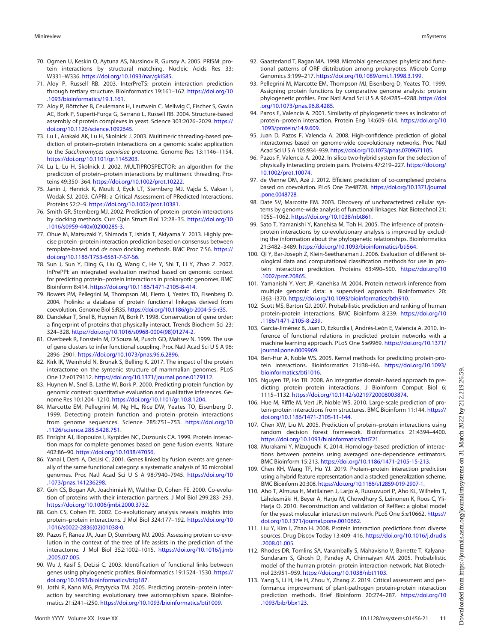- <span id="page-10-0"></span>70. Ogmen U, Keskin O, Aytuna AS, Nussinov R, Gursoy A. 2005. PRISM: protein interactions by structural matching. Nucleic Acids Res 33: W331–W336. <https://doi.org/10.1093/nar/gki585>.
- <span id="page-10-1"></span>71. Aloy P, Russell RB. 2003. InterPreTS: protein interaction prediction through tertiary structure. Bioinformatics 19:161–162. [https://doi.org/10](https://doi.org/10.1093/bioinformatics/19.1.161) [.1093/bioinformatics/19.1.161.](https://doi.org/10.1093/bioinformatics/19.1.161)
- <span id="page-10-2"></span>72. Aloy P, Böttcher B, Ceulemans H, Leutwein C, Mellwig C, Fischer S, Gavin AC, Bork P, Superti-Furga G, Serrano L, Russell RB. 2004. Structure-based assembly of protein complexes in yeast. Science 303:2026–2029. [https://](https://doi.org/10.1126/science.1092645) [doi.org/10.1126/science.1092645](https://doi.org/10.1126/science.1092645).
- <span id="page-10-3"></span>73. Lu L, Arakaki AK, Lu H, Skolnick J. 2003. Multimeric threading-based prediction of protein–protein interactions on a genomic scale: application to the Saccharomyces cerevisiae proteome. Genome Res 13:1146–1154. [https://doi.org/10.1101/gr.1145203.](https://doi.org/10.1101/gr.1145203)
- <span id="page-10-4"></span>74. Lu L, Lu H, Skolnick J. 2002. MULTIPROSPECTOR: an algorithm for the prediction of protein–protein interactions by multimeric threading. Proteins 49:350–364. [https://doi.org/10.1002/prot.10222.](https://doi.org/10.1002/prot.10222)
- <span id="page-10-5"></span>75. Janin J, Henrick K, Moult J, Eyck LT, Sternberg MJ, Vajda S, Vakser I, Wodak SJ. 2003. CAPRI: a Critical Assessment of PRedicted Interactions. Proteins 52:2–9. [https://doi.org/10.1002/prot.10381.](https://doi.org/10.1002/prot.10381)
- <span id="page-10-6"></span>76. Smith GR, Sternberg MJ. 2002. Prediction of protein–protein interactions by docking methods. Curr Opin Struct Biol 12:28–35. [https://doi.org/10](https://doi.org/10.1016/s0959-440x(02)00285-3) [.1016/s0959-440x\(02\)00285-3.](https://doi.org/10.1016/s0959-440x(02)00285-3)
- <span id="page-10-7"></span>77. Ohue M, Matsuzaki Y, Shimoda T, Ishida T, Akiyama Y. 2013. Highly precise protein–protein interaction prediction based on consensus between template-based and de novo docking methods. BMC Proc 7:S6. [https://](https://doi.org/10.1186/1753-6561-7-S7-S6) [doi.org/10.1186/1753-6561-7-S7-S6](https://doi.org/10.1186/1753-6561-7-S7-S6).
- <span id="page-10-8"></span>78. Sun J, Sun Y, Ding G, Liu Q, Wang C, He Y, Shi T, Li Y, Zhao Z. 2007. InPrePPI: an integrated evaluation method based on genomic context for predicting protein–protein interactions in prokaryotic genomes. BMC Bioinform 8:414. <https://doi.org/10.1186/1471-2105-8-414>.
- <span id="page-10-9"></span>79. Bowers PM, Pellegrini M, Thompson MJ, Fierro J, Yeates TO, Eisenberg D. 2004. Prolinks: a database of protein functional linkages derived from coevolution. Genome Biol 5:R35. <https://doi.org/10.1186/gb-2004-5-5-r35>.
- <span id="page-10-10"></span>80. Dandekar T, Snel B, Huynen M, Bork P. 1998. Conservation of gene order: a fingerprint of proteins that physically interact. Trends Biochem Sci 23: 324–328. [https://doi.org/10.1016/s0968-0004\(98\)01274-2.](https://doi.org/10.1016/s0968-0004(98)01274-2)
- <span id="page-10-11"></span>81. Overbeek R, Fonstein M, D'Souza M, Pusch GD, Maltsev N. 1999. The use of gene clusters to infer functional coupling. Proc Natl Acad Sci U S A 96: 2896–2901. [https://doi.org/10.1073/pnas.96.6.2896.](https://doi.org/10.1073/pnas.96.6.2896)
- <span id="page-10-12"></span>82. Kirk IK, Weinhold N, Brunak S, Belling K. 2017. The impact of the protein interactome on the syntenic structure of mammalian genomes. PLoS One 12:e0179112. [https://doi.org/10.1371/journal.pone.0179112.](https://doi.org/10.1371/journal.pone.0179112)
- <span id="page-10-13"></span>83. Huynen M, Snel B, Lathe W, Bork P. 2000. Predicting protein function by genomic context: quantitative evaluation and qualitative inferences. Genome Res 10:1204–1210. <https://doi.org/10.1101/gr.10.8.1204>.
- <span id="page-10-14"></span>84. Marcotte EM, Pellegrini M, Ng HL, Rice DW, Yeates TO, Eisenberg D. 1999. Detecting protein function and protein–protein interactions from genome sequences. Science 285:751–753. [https://doi.org/10](https://doi.org/10.1126/science.285.5428.751) [.1126/science.285.5428.751.](https://doi.org/10.1126/science.285.5428.751)
- <span id="page-10-15"></span>85. Enright AJ, Iliopoulos I, Kyrpides NC, Ouzounis CA. 1999. Protein interaction maps for complete genomes based on gene fusion events. Nature 402:86–90. <https://doi.org/10.1038/47056>.
- <span id="page-10-16"></span>86. Yanai I, Derti A, DeLisi C. 2001. Genes linked by fusion events are generally of the same functional category: a systematic analysis of 30 microbial genomes. Proc Natl Acad Sci U S A 98:7940–7945. [https://doi.org/10](https://doi.org/10.1073/pnas.141236298) [.1073/pnas.141236298](https://doi.org/10.1073/pnas.141236298).
- <span id="page-10-17"></span>87. Goh CS, Bogan AA, Joachimiak M, Walther D, Cohen FE. 2000. Co-evolution of proteins with their interaction partners. J Mol Biol 299:283–293. [https://doi.org/10.1006/jmbi.2000.3732.](https://doi.org/10.1006/jmbi.2000.3732)
- <span id="page-10-18"></span>88. Goh CS, Cohen FE. 2002. Co-evolutionary analysis reveals insights into protein–protein interactions. J Mol Biol 324:177–192. [https://doi.org/10](https://doi.org/10.1016/s0022-2836(02)01038-0) [.1016/s0022-2836\(02\)01038-0](https://doi.org/10.1016/s0022-2836(02)01038-0).
- 89. Pazos F, Ranea JA, Juan D, Sternberg MJ. 2005. Assessing protein co-evolution in the context of the tree of life assists in the prediction of the interactome. J Mol Biol 352:1002–1015. [https://doi.org/10.1016/j.jmb](https://doi.org/10.1016/j.jmb.2005.07.005) [.2005.07.005.](https://doi.org/10.1016/j.jmb.2005.07.005)
- 90. Wu J, Kasif S, DeLisi C. 2003. Identification of functional links between genes using phylogenetic profiles. Bioinformatics 19:1524-1530. [https://](https://doi.org/10.1093/bioinformatics/btg187) [doi.org/10.1093/bioinformatics/btg187.](https://doi.org/10.1093/bioinformatics/btg187)
- <span id="page-10-19"></span>91. Jothi R, Kann MG, Przytycka TM. 2005. Predicting protein–protein interaction by searching evolutionary tree automorphism space. Bioinformatics 21:i241–i250. <https://doi.org/10.1093/bioinformatics/bti1009>.
- <span id="page-10-20"></span>92. Gaasterland T, Ragan MA. 1998. Microbial genescapes: phyletic and functional patterns of ORF distribution among prokaryotes. Microb Comp Genomics 3:199–217. [https://doi.org/10.1089/omi.1.1998.3.199.](https://doi.org/10.1089/omi.1.1998.3.199)
- <span id="page-10-21"></span>93. Pellegrini M, Marcotte EM, Thompson MJ, Eisenberg D, Yeates TO. 1999. Assigning protein functions by comparative genome analysis: protein phylogenetic profiles. Proc Natl Acad Sci U S A 96:4285–4288. [https://doi](https://doi.org/10.1073/pnas.96.8.4285) [.org/10.1073/pnas.96.8.4285.](https://doi.org/10.1073/pnas.96.8.4285)
- <span id="page-10-22"></span>94. Pazos F, Valencia A. 2001. Similarity of phylogenetic trees as indicator of protein–protein interaction. Protein Eng 14:609–614. [https://doi.org/10](https://doi.org/10.1093/protein/14.9.609) [.1093/protein/14.9.609.](https://doi.org/10.1093/protein/14.9.609)
- <span id="page-10-23"></span>95. Juan D, Pazos F, Valencia A. 2008. High-confidence prediction of global interactomes based on genome-wide coevolutionary networks. Proc Natl Acad Sci U S A 105:934–939. [https://doi.org/10.1073/pnas.0709671105.](https://doi.org/10.1073/pnas.0709671105)
- <span id="page-10-24"></span>96. Pazos F, Valencia A. 2002. In silico two-hybrid system for the selection of physically interacting protein pairs. Proteins 47:219–227. [https://doi.org/](https://doi.org/10.1002/prot.10074) [10.1002/prot.10074.](https://doi.org/10.1002/prot.10074)
- <span id="page-10-25"></span>97. de Vienne DM, Azé J. 2012. Efficient prediction of co-complexed proteins based on coevolution. PLoS One 7:e48728. [https://doi.org/10.1371/journal](https://doi.org/10.1371/journal.pone.0048728) [.pone.0048728](https://doi.org/10.1371/journal.pone.0048728).
- <span id="page-10-26"></span>98. Date SV, Marcotte EM. 2003. Discovery of uncharacterized cellular systems by genome-wide analysis of functional linkages. Nat Biotechnol 21: 1055–1062. [https://doi.org/10.1038/nbt861.](https://doi.org/10.1038/nbt861)
- <span id="page-10-27"></span>99. Sato T, Yamanishi Y, Kanehisa M, Toh H. 2005. The inference of protein– protein interactions by co-evolutionary analysis is improved by excluding the information about the phylogenetic relationships. Bioinformatics 21:3482–3489. <https://doi.org/10.1093/bioinformatics/bti564>.
- <span id="page-10-28"></span>100. Qi Y, Bar-Joseph Z, Klein-Seetharaman J. 2006. Evaluation of different biological data and computational classification methods for use in protein interaction prediction. Proteins 63:490–500. [https://doi.org/10](https://doi.org/10.1002/prot.20865) [.1002/prot.20865.](https://doi.org/10.1002/prot.20865)
- <span id="page-10-29"></span>101. Yamanishi Y, Vert JP, Kanehisa M. 2004. Protein network inference from multiple genomic data: a supervised approach. Bioinformatics 20: i363–i370. <https://doi.org/10.1093/bioinformatics/bth910>.
- 102. Scott MS, Barton GJ. 2007. Probabilistic prediction and ranking of human protein-protein interactions. BMC Bioinform 8:239. [https://doi.org/10](https://doi.org/10.1186/1471-2105-8-239) [.1186/1471-2105-8-239.](https://doi.org/10.1186/1471-2105-8-239)
- 103. García-Jiménez B, Juan D, Ezkurdia I, Andrés-León E, Valencia A. 2010. Inference of functional relations in predicted protein networks with a machine learning approach. PLoS One 5:e9969. [https://doi.org/10.1371/](https://doi.org/10.1371/journal.pone.0009969) [journal.pone.0009969.](https://doi.org/10.1371/journal.pone.0009969)
- 104. Ben-Hur A, Noble WS. 2005. Kernel methods for predicting protein-protein interactions. Bioinformatics 21:i38–i46. [https://doi.org/10.1093/](https://doi.org/10.1093/bioinformatics/bti1016) [bioinformatics/bti1016.](https://doi.org/10.1093/bioinformatics/bti1016)
- 105. Nguyen TP, Ho TB. 2008. An integrative domain-based approach to predicting protein–protein interactions. J Bioinform Comput Biol 6: 1115–1132. [https://doi.org/10.1142/s0219720008003874.](https://doi.org/10.1142/s0219720008003874)
- 106. Hue M, Riffle M, Vert JP, Noble WS. 2010. Large-scale prediction of protein-protein interactions from structures. BMC Bioinform 11:144. [https://](https://doi.org/10.1186/1471-2105-11-144) [doi.org/10.1186/1471-2105-11-144](https://doi.org/10.1186/1471-2105-11-144).
- 107. Chen XW, Liu M. 2005. Prediction of protein–protein interactions using random decision forest framework. Bioinformatics 21:4394–4400. <https://doi.org/10.1093/bioinformatics/bti721>.
- 108. Murakami Y, Mizuguchi K. 2014. Homology-based prediction of interactions between proteins using averaged one-dependence estimators. BMC Bioinform 15:213. <https://doi.org/10.1186/1471-2105-15-213>.
- <span id="page-10-30"></span>109. Chen KH, Wang TF, Hu YJ. 2019. Protein–protein interaction prediction using a hybrid feature representation and a stacked generalization scheme. BMC Bioinform 20:308. <https://doi.org/10.1186/s12859-019-2907-1>.
- <span id="page-10-31"></span>110. Aho T, Almusa H, Matilainen J, Larjo A, Ruusuvuori P, Aho KL, Wilhelm T, Lähdesmäki H, Beyer A, Harju M, Chowdhury S, Leinonen K, Roos C, Yli-Harja O. 2010. Reconstruction and validation of RefRec: a global model for the yeast molecular interaction network. PLoS One 5:e10662. [https://](https://doi.org/10.1371/journal.pone.0010662) [doi.org/10.1371/journal.pone.0010662.](https://doi.org/10.1371/journal.pone.0010662)
- <span id="page-10-32"></span>111. Liu Y, Kim I, Zhao H. 2008. Protein interaction predictions from diverse sources. Drug Discov Today 13:409–416. [https://doi.org/10.1016/j.drudis](https://doi.org/10.1016/j.drudis.2008.01.005) [.2008.01.005.](https://doi.org/10.1016/j.drudis.2008.01.005)
- <span id="page-10-33"></span>112. Rhodes DR, Tomlins SA, Varambally S, Mahavisno V, Barrette T, Kalyana-Sundaram S, Ghosh D, Pandey A, Chinnaiyan AM. 2005. Probabilistic model of the human protein–protein interaction network. Nat Biotechnol 23:951–959. [https://doi.org/10.1038/nbt1103.](https://doi.org/10.1038/nbt1103)
- <span id="page-10-34"></span>113. Yang S, Li H, He H, Zhou Y, Zhang Z. 2019. Critical assessment and performance improvement of plant-pathogen protein-protein interaction prediction methods. Brief Bioinform 20:274–287. [https://doi.org/10](https://doi.org/10.1093/bib/bbx123) [.1093/bib/bbx123](https://doi.org/10.1093/bib/bbx123).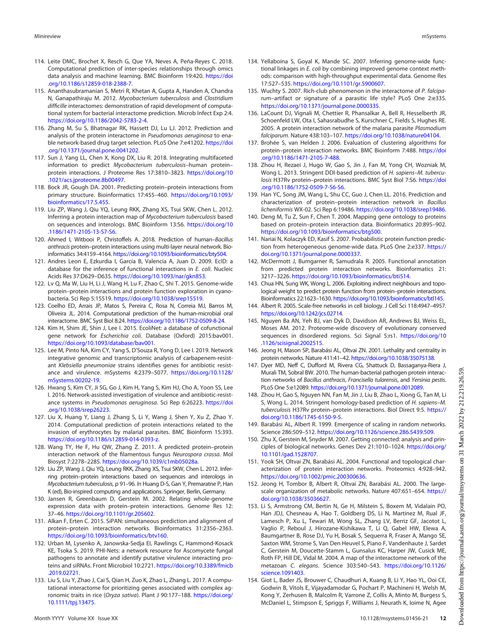- <span id="page-11-38"></span>114. Leite DMC, Brochet X, Resch G, Que YA, Neves A, Peña-Reyes C. 2018. Computational prediction of inter-species relationships through omics data analysis and machine learning. BMC Bioinform 19:420. [https://doi](https://doi.org/10.1186/s12859-018-2388-7) [.org/10.1186/s12859-018-2388-7](https://doi.org/10.1186/s12859-018-2388-7).
- <span id="page-11-36"></span>115. Ananthasubramanian S, Metri R, Khetan A, Gupta A, Handen A, Chandra N, Ganapathiraju M. 2012. Mycobacterium tuberculosis and Clostridium difficille interactomes: demonstration of rapid development of computational system for bacterial interactome prediction. Microb Infect Exp 2:4. [https://doi.org/10.1186/2042-5783-2-4.](https://doi.org/10.1186/2042-5783-2-4)
- <span id="page-11-35"></span>116. Zhang M, Su S, Bhatnagar RK, Hassett DJ, Lu LJ. 2012. Prediction and analysis of the protein interactome in Pseudomonas aeruginosa to enable network-based drug target selection. PLoS One 7:e41202. [https://doi](https://doi.org/10.1371/journal.pone.0041202) [.org/10.1371/journal.pone.0041202.](https://doi.org/10.1371/journal.pone.0041202)
- <span id="page-11-0"></span>117. Sun J, Yang LL, Chen X, Kong DX, Liu R. 2018. Integrating multifaceted information to predict Mycobacterium tuberculosis-human proteinprotein interactions. J Proteome Res 17:3810–3823. [https://doi.org/10](https://doi.org/10.1021/acs.jproteome.8b00497) [.1021/acs.jproteome.8b00497](https://doi.org/10.1021/acs.jproteome.8b00497).
- <span id="page-11-1"></span>118. Bock JR, Gough DA. 2001. Predicting protein–protein interactions from primary structure. Bioinformatics 17:455–460. [https://doi.org/10.1093/](https://doi.org/10.1093/bioinformatics/17.5.455) [bioinformatics/17.5.455](https://doi.org/10.1093/bioinformatics/17.5.455).
- <span id="page-11-2"></span>119. Liu ZP, Wang J, Qiu YQ, Leung RKK, Zhang XS, Tsui SKW, Chen L. 2012. Inferring a protein interaction map of Mycobacterium tuberculosis based on sequences and interologs. BMC Bioinform 13:S6. [https://doi.org/10](https://doi.org/10.1186/1471-2105-13-S7-S6) [.1186/1471-2105-13-S7-S6.](https://doi.org/10.1186/1471-2105-13-S7-S6)
- <span id="page-11-3"></span>120. Ahmed I, Witbooi P, Christoffels A. 2018. Prediction of human–Bacillus anthracis protein–protein interactions using multi-layer neural network. Bioinformatics 34:4159–4164. [https://doi.org/10.1093/bioinformatics/bty504.](https://doi.org/10.1093/bioinformatics/bty504)
- <span id="page-11-4"></span>121. Andres Leon E, Ezkurdia I, García B, Valencia A, Juan D. 2009. EcID: a database for the inference of functional interactions in E. coli. Nucleic Acids Res 37:D629–D635. [https://doi.org/10.1093/nar/gkn853.](https://doi.org/10.1093/nar/gkn853)
- <span id="page-11-5"></span>122. Lv Q, Ma W, Liu H, Li J, Wang H, Lu F, Zhao C, Shi T. 2015. Genome-wide protein–protein interactions and protein function exploration in cyanobacteria. Sci Rep 5:15519. [https://doi.org/10.1038/srep15519.](https://doi.org/10.1038/srep15519)
- <span id="page-11-6"></span>123. Coelho ED, Arrais JP, Matos S, Pereira C, Rosa N, Correia MJ, Barros M, Oliveira JL. 2014. Computational prediction of the human-microbial oral interactome. BMC Syst Biol 8:24. <https://doi.org/10.1186/1752-0509-8-24>.
- <span id="page-11-7"></span>124. Kim H, Shim JE, Shin J, Lee I. 2015. EcoliNet: a database of cofunctional gene network for Escherichia coli. Database (Oxford) 2015:bav001. [https://doi.org/10.1093/database/bav001.](https://doi.org/10.1093/database/bav001)
- <span id="page-11-8"></span>125. Lee M, Pinto NA, Kim CY, Yang S, D'Souza R, Yong D, Lee I. 2019. Network integrative genomic and transcriptomic analysis of carbapenem-resistant Klebsiella pneumoniae strains identifies genes for antibiotic resistance and virulence. mSystems 4:2379–5077. [https://doi.org/10.1128/](https://doi.org/10.1128/mSystems.00202-19) [mSystems.00202-19.](https://doi.org/10.1128/mSystems.00202-19)
- <span id="page-11-9"></span>126. Hwang S, Kim CY, Ji SG, Go J, Kim H, Yang S, Kim HJ, Cho A, Yoon SS, Lee I. 2016. Network-assisted investigation of virulence and antibiotic-resistance systems in Pseudomonas aeruginosa. Sci Rep 6:26223. [https://doi](https://doi.org/10.1038/srep26223) [.org/10.1038/srep26223](https://doi.org/10.1038/srep26223).
- <span id="page-11-10"></span>127. Liu X, Huang Y, Liang J, Zhang S, Li Y, Wang J, Shen Y, Xu Z, Zhao Y. 2014. Computational prediction of protein interactions related to the invasion of erythrocytes by malarial parasites. BMC Bioinform 15:393. [https://doi.org/10.1186/s12859-014-0393-z.](https://doi.org/10.1186/s12859-014-0393-z)
- <span id="page-11-11"></span>128. Wang TY, He F, Hu QW, Zhang Z. 2011. A predicted protein–protein interaction network of the filamentous fungus Neurospora crassa. Mol Biosyst 7:2278–2285. [https://doi.org/10.1039/c1mb05028a.](https://doi.org/10.1039/c1mb05028a)
- <span id="page-11-16"></span>129. Liu ZP, Wang J, Qiu YQ, Leung RKK, Zhang XS, Tsui SKW, Chen L. 2012. Inferring protein–protein interactions based on sequences and interologs in Mycobacterium tuberculosis, p 91–96. In Huang D-S, Gan Y, Premaratne P, Han K (ed), Bio-inspired computing and applications. Springer, Berlin, Germany.
- 130. Jansen R, Greenbaum D, Gerstein M. 2002. Relating whole-genome expression data with protein–protein interactions. Genome Res 12: 37–46. <https://doi.org/10.1101/gr.205602>.
- <span id="page-11-12"></span>131. Alkan F, Erten C. 2015. SiPAN: simultaneous prediction and alignment of protein–protein interaction networks. Bioinformatics 31:2356–2363. <https://doi.org/10.1093/bioinformatics/btv160>.
- <span id="page-11-13"></span>132. Urban M, Lysenko A, Janowska-Sedja EI, Rawlings C, Hammond-Kosack KE, Tsoka S. 2019. PHI-Nets: a network resource for Ascomycete fungal pathogens to annotate and identify putative virulence interacting proteins and siRNAs. Front Microbiol 10:2721. [https://doi.org/10.3389/fmicb](https://doi.org/10.3389/fmicb.2019.02721) [.2019.02721.](https://doi.org/10.3389/fmicb.2019.02721)
- <span id="page-11-14"></span>133. Liu S, Liu Y, Zhao J, Cai S, Qian H, Zuo K, Zhao L, Zhang L. 2017. A computational interactome for prioritizing genes associated with complex agronomic traits in rice (Oryza sativa). Plant J 90:177–188. [https://doi.org/](https://doi.org/10.1111/tpj.13475) [10.1111/tpj.13475.](https://doi.org/10.1111/tpj.13475)
- <span id="page-11-15"></span>134. Yellaboina S, Goyal K, Mande SC. 2007. Inferring genome-wide functional linkages in E. coli by combining improved genome context methods: comparison with high-throughput experimental data. Genome Res 17:527–535. [https://doi.org/10.1101/gr.5900607.](https://doi.org/10.1101/gr.5900607)
- <span id="page-11-17"></span>135. Wuchty S. 2007. Rich-club phenomenon in the interactome of P. falciparum–artifact or signature of a parasitic life style? PLoS One 2:e335. [https://doi.org/10.1371/journal.pone.0000335.](https://doi.org/10.1371/journal.pone.0000335)
- <span id="page-11-18"></span>136. LaCount DJ, Vignali M, Chettier R, Phansalkar A, Bell R, Hesselberth JR, Schoenfeld LW, Ota I, Sahasrabudhe S, Kurschner C, Fields S, Hughes RE. 2005. A protein interaction network of the malaria parasite Plasmodium falciparum. Nature 438:103–107. [https://doi.org/10.1038/nature04104.](https://doi.org/10.1038/nature04104)
- <span id="page-11-19"></span>137. Brohée S, van Helden J. 2006. Evaluation of clustering algorithms for protein–protein interaction networks. BMC Bioinform 7:488. [https://doi](https://doi.org/10.1186/1471-2105-7-488) [.org/10.1186/1471-2105-7-488](https://doi.org/10.1186/1471-2105-7-488).
- <span id="page-11-20"></span>138. Zhou H, Rezaei J, Hugo W, Gao S, Jin J, Fan M, Yong CH, Wozniak M, Wong L. 2013. Stringent DDI-based prediction of H. sapiens–M. tuberculosis H37Rv protein–protein interactions. BMC Syst Biol 7:S6. [https://doi](https://doi.org/10.1186/1752-0509-7-S6-S6) [.org/10.1186/1752-0509-7-S6-S6](https://doi.org/10.1186/1752-0509-7-S6-S6).
- <span id="page-11-21"></span>139. Han YC, Song JM, Wang L, Shu CC, Guo J, Chen LL. 2016. Prediction and characterization of protein–protein interaction network in Bacillus licheniformis WX-02. Sci Rep 6:19486. <https://doi.org/10.1038/srep19486>.
- <span id="page-11-22"></span>140. Deng M, Tu Z, Sun F, Chen T. 2004. Mapping gene ontology to proteins based on protein–protein interaction data. Bioinformatics 20:895–902. [https://doi.org/10.1093/bioinformatics/btg500.](https://doi.org/10.1093/bioinformatics/btg500)
- 141. Nariai N, Kolaczyk ED, Kasif S. 2007. Probabilistic protein function prediction from heterogeneous genome-wide data. PLoS One 2:e337. [https://](https://doi.org/10.1371/journal.pone.0000337) [doi.org/10.1371/journal.pone.0000337.](https://doi.org/10.1371/journal.pone.0000337)
- <span id="page-11-37"></span>142. McDermott J, Bumgarner R, Samudrala R. 2005. Functional annotation from predicted protein interaction networks. Bioinformatics 21: 3217–3226. <https://doi.org/10.1093/bioinformatics/bti514>.
- <span id="page-11-23"></span>143. Chua HN, Sung WK, Wong L. 2006. Exploiting indirect neighbours and topological weight to predict protein function from protein–protein interactions. Bioinformatics 22:1623–1630. [https://doi.org/10.1093/bioinformatics/btl145.](https://doi.org/10.1093/bioinformatics/btl145)
- <span id="page-11-24"></span>144. Albert R. 2005. Scale-free networks in cell biology. J Cell Sci 118:4947–4957. [https://doi.org/10.1242/jcs.02714.](https://doi.org/10.1242/jcs.02714)
- <span id="page-11-25"></span>145. Nguyen Ba AN, Yeh BJ, van Dyk D, Davidson AR, Andrews BJ, Weiss EL, Moses AM. 2012. Proteome-wide discovery of evolutionary conserved sequences in disordered regions. Sci Signal 5:rs1. [https://doi.org/10](https://doi.org/10.1126/scisignal.2002515) [.1126/scisignal.2002515.](https://doi.org/10.1126/scisignal.2002515)
- <span id="page-11-26"></span>146. Jeong H, Mason SP, Barabási AL, Oltvai ZN. 2001. Lethality and centrality in protein networks. Nature 411:41–42. <https://doi.org/10.1038/35075138>.
- <span id="page-11-27"></span>147. Dyer MD, Neff C, Dufford M, Rivera CG, Shattuck D, Bassaganya-Riera J, Murali TM, Sobral BW. 2010. The human-bacterial pathogen protein interaction networks of Bacillus anthracis, Francisella tularensis, and Yersinia pestis. PLoS One 5:e12089. <https://doi.org/10.1371/journal.pone.0012089>.
- <span id="page-11-28"></span>148. Zhou H, Gao S, Nguyen NN, Fan M, Jin J, Liu B, Zhao L, Xiong G, Tan M, Li S, Wong L. 2014. Stringent homology-based prediction of H. sapiens–M. tuberculosis H37Rv protein–protein interactions. Biol Direct 9:5. [https://](https://doi.org/10.1186/1745-6150-9-5) [doi.org/10.1186/1745-6150-9-5.](https://doi.org/10.1186/1745-6150-9-5)
- <span id="page-11-29"></span>149. Barabási AL, Albert R. 1999. Emergence of scaling in random networks. Science 286:509–512. <https://doi.org/10.1126/science.286.5439.509>.
- <span id="page-11-30"></span>150. Zhu X, Gerstein M, Snyder M. 2007. Getting connected: analysis and principles of biological networks. Genes Dev 21:1010–1024. [https://doi.org/](https://doi.org/10.1101/gad.1528707) [10.1101/gad.1528707.](https://doi.org/10.1101/gad.1528707)
- <span id="page-11-31"></span>151. Yook SH, Oltvai ZN, Barabási AL. 2004. Functional and topological characterization of protein interaction networks. Proteomics 4:928–942. <https://doi.org/10.1002/pmic.200300636>.
- <span id="page-11-32"></span>152. Jeong H, Tombor B, Albert R, Oltvai ZN, Barabási AL. 2000. The largescale organization of metabolic networks. Nature 407:651-654. [https://](https://doi.org/10.1038/35036627) [doi.org/10.1038/35036627](https://doi.org/10.1038/35036627).
- <span id="page-11-33"></span>153. Li S, Armstrong CM, Bertin N, Ge H, Milstein S, Boxem M, Vidalain PO, Han JDJ, Chesneau A, Hao T, Goldberg DS, Li N, Martinez M, Rual JF, Lamesch P, Xu L, Tewari M, Wong SL, Zhang LV, Berriz GF, Jacotot L, Vaglio P, Reboul J, Hirozane-Kishikawa T, Li Q, Gabel HW, Elewa A, Baumgartner B, Rose DJ, Yu H, Bosak S, Sequerra R, Fraser A, Mango SE, Saxton WM, Strome S, Van Den Heuvel S, Piano F, Vandenhaute J, Sardet C, Gerstein M, Doucette-Stamm L, Gunsalus KC, Harper JW, Cusick ME, Roth FP, Hill DE, Vidal M. 2004. A map of the interactome network of the metazoan C. elegans. Science 303:540–543. [https://doi.org/10.1126/](https://doi.org/10.1126/science.1091403) [science.1091403.](https://doi.org/10.1126/science.1091403)
- <span id="page-11-34"></span>154. Giot L, Bader JS, Brouwer C, Chaudhuri A, Kuang B, Li Y, Hao YL, Ooi CE, Godwin B, Vitols E, Vijayadamodar G, Pochart P, Machineni H, Welsh M, Kong Y, Zerhusen B, Malcolm R, Varrone Z, Collis A, Minto M, Burgess S, McDaniel L, Stimpson E, Spriggs F, Williams J, Neurath K, Ioime N, Agee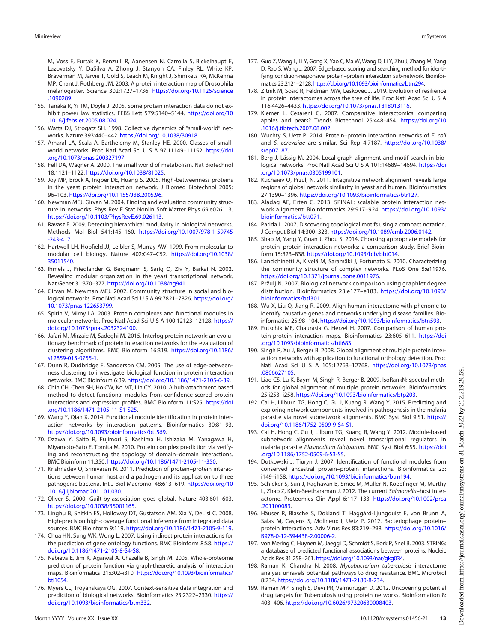M, Voss E, Furtak K, Renzulli R, Aanensen N, Carrolla S, Bickelhaupt E, Lazovatsky Y, DaSilva A, Zhong J, Stanyon CA, Finley RL, White KP, Braverman M, Jarvie T, Gold S, Leach M, Knight J, Shimkets RA, McKenna MP, Chant J, Rothberg JM. 2003. A protein interaction map of Drosophila melanogaster. Science 302:1727–1736. [https://doi.org/10.1126/science](https://doi.org/10.1126/science.1090289) [.1090289.](https://doi.org/10.1126/science.1090289)

- <span id="page-12-0"></span>155. Tanaka R, Yi TM, Doyle J. 2005. Some protein interaction data do not exhibit power law statistics. FEBS Lett 579:5140–5144. [https://doi.org/10](https://doi.org/10.1016/j.febslet.2005.08.024) [.1016/j.febslet.2005.08.024.](https://doi.org/10.1016/j.febslet.2005.08.024)
- <span id="page-12-1"></span>156. Watts DJ, Strogatz SH. 1998. Collective dynamics of "small-world" networks. Nature 393:440–442. [https://doi.org/10.1038/30918.](https://doi.org/10.1038/30918)
- <span id="page-12-2"></span>157. Amaral LA, Scala A, Barthelemy M, Stanley HE. 2000. Classes of smallworld networks. Proc Natl Acad Sci U S A 97:11149–11152. [https://doi](https://doi.org/10.1073/pnas.200327197) [.org/10.1073/pnas.200327197.](https://doi.org/10.1073/pnas.200327197)
- <span id="page-12-3"></span>158. Fell DA, Wagner A. 2000. The small world of metabolism. Nat Biotechnol 18:1121–1122. [https://doi.org/10.1038/81025.](https://doi.org/10.1038/81025)
- <span id="page-12-4"></span>159. Joy MP, Brock A, Ingber DE, Huang S. 2005. High-betweenness proteins in the yeast protein interaction network. J Biomed Biotechnol 2005: 96–103. [https://doi.org/10.1155/JBB.2005.96.](https://doi.org/10.1155/JBB.2005.96)
- <span id="page-12-5"></span>160. Newman MEJ, Girvan M. 2004. Finding and evaluating community structure in networks. Phys Rev E Stat Nonlin Soft Matter Phys 69:e026113. <https://doi.org/10.1103/PhysRevE.69.026113>.
- <span id="page-12-6"></span>161. Ravasz E. 2009. Detecting hierarchical modularity in biological networks. Methods Mol Biol 541:145–160. [https://doi.org/10.1007/978-1-59745](https://doi.org/10.1007/978-1-59745-243-4_7)  $-243-4$  7.
- <span id="page-12-7"></span>162. Hartwell LH, Hopfield JJ, Leibler S, Murray AW. 1999. From molecular to modular cell biology. Nature 402:C47–C52. [https://doi.org/10.1038/](https://doi.org/10.1038/35011540) [35011540](https://doi.org/10.1038/35011540).
- 163. Ihmels J, Friedlander G, Bergmann S, Sarig O, Ziv Y, Barkai N. 2002. Revealing modular organization in the yeast transcriptional network. Nat Genet 31:370–377. <https://doi.org/10.1038/ng941>.
- 164. Girvan M, Newman MEJ. 2002. Community structure in social and biological networks. Proc Natl Acad Sci U S A 99:7821–7826. [https://doi.org/](https://doi.org/10.1073/pnas.122653799) [10.1073/pnas.122653799.](https://doi.org/10.1073/pnas.122653799)
- <span id="page-12-8"></span>165. Spirin V, Mirny LA. 2003. Protein complexes and functional modules in molecular networks. Proc Natl Acad Sci U S A 100:12123–12128. [https://](https://doi.org/10.1073/pnas.2032324100) [doi.org/10.1073/pnas.2032324100](https://doi.org/10.1073/pnas.2032324100).
- <span id="page-12-9"></span>166. Jafari M, Mirzaie M, Sadeghi M. 2015. Interlog protein network: an evolutionary benchmark of protein interaction networks for the evaluation of clustering algorithms. BMC Bioinform 16:319. [https://doi.org/10.1186/](https://doi.org/10.1186/s12859-015-0755-1) [s12859-015-0755-1](https://doi.org/10.1186/s12859-015-0755-1).
- <span id="page-12-10"></span>167. Dunn R, Dudbridge F, Sanderson CM. 2005. The use of edge-betweenness clustering to investigate biological function in protein interaction networks. BMC Bioinform 6:39. [https://doi.org/10.1186/1471-2105-6-39.](https://doi.org/10.1186/1471-2105-6-39)
- <span id="page-12-11"></span>168. Chin CH, Chen SH, Ho CW, Ko MT, Lin CY. 2010. A hub-attachment based method to detect functional modules from confidence-scored protein interactions and expression profiles. BMC Bioinform 11:S25. [https://doi](https://doi.org/10.1186/1471-2105-11-S1-S25) [.org/10.1186/1471-2105-11-S1-S25.](https://doi.org/10.1186/1471-2105-11-S1-S25)
- <span id="page-12-12"></span>169. Wang Y, Qian X. 2014. Functional module identification in protein interaction networks by interaction patterns. Bioinformatics 30:81–93. <https://doi.org/10.1093/bioinformatics/btt569>.
- <span id="page-12-13"></span>170. Ozawa Y, Saito R, Fujimori S, Kashima H, Ishizaka M, Yanagawa H, Miyamoto-Sato E, Tomita M. 2010. Protein complex prediction via verifying and reconstructing the topology of domain–domain interactions. BMC Bioinform 11:350. <https://doi.org/10.1186/1471-2105-11-350>.
- <span id="page-12-14"></span>171. Krishnadev O, Srinivasan N. 2011. Prediction of protein–protein interactions between human host and a pathogen and its application to three pathogenic bacteria. Int J Biol Macromol 48:613–619. [https://doi.org/10](https://doi.org/10.1016/j.ijbiomac.2011.01.030) [.1016/j.ijbiomac.2011.01.030](https://doi.org/10.1016/j.ijbiomac.2011.01.030).
- <span id="page-12-15"></span>172. Oliver S. 2000. Guilt-by-association goes global. Nature 403:601–603. <https://doi.org/10.1038/35001165>.
- <span id="page-12-16"></span>173. Linghu B, Snitkin ES, Holloway DT, Gustafson AM, Xia Y, DeLisi C. 2008. High-precision high-coverage functional inference from integrated data sources. BMC Bioinform 9:119. <https://doi.org/10.1186/1471-2105-9-119>.
- <span id="page-12-17"></span>174. Chua HN, Sung WK, Wong L. 2007. Using indirect protein interactions for the prediction of gene ontology functions. BMC Bioinform 8:S8. [https://](https://doi.org/10.1186/1471-2105-8-S4-S8) [doi.org/10.1186/1471-2105-8-S4-S8](https://doi.org/10.1186/1471-2105-8-S4-S8).
- <span id="page-12-18"></span>175. Nabieva E, Jim K, Agarwal A, Chazelle B, Singh M. 2005. Whole-proteome prediction of protein function via graph-theoretic analysis of interaction maps. Bioinformatics 21:i302–i310. [https://doi.org/10.1093/bioinformatics/](https://doi.org/10.1093/bioinformatics/bti1054) [bti1054.](https://doi.org/10.1093/bioinformatics/bti1054)
- <span id="page-12-19"></span>176. Myers CL, Troyanskaya OG. 2007. Context-sensitive data integration and prediction of biological networks. Bioinformatics 23:2322–2330. [https://](https://doi.org/10.1093/bioinformatics/btm332) [doi.org/10.1093/bioinformatics/btm332.](https://doi.org/10.1093/bioinformatics/btm332)
- <span id="page-12-20"></span>177. Guo Z, Wang L, Li Y, Gong X, Yao C, Ma W, Wang D, Li Y, Zhu J, Zhang M, Yang D, Rao S, Wang J. 2007. Edge-based scoring and searching method for identifying condition-responsive protein–protein interaction sub-network. Bioinformatics 23:2121–2128. [https://doi.org/10.1093/bioinformatics/btm294.](https://doi.org/10.1093/bioinformatics/btm294)
- <span id="page-12-21"></span>178. Zitnik M, Sosič R, Feldman MW, Leskovec J. 2019. Evolution of resilience in protein interactomes across the tree of life. Proc Natl Acad Sci U S A 116:4426–4433. <https://doi.org/10.1073/pnas.1818013116>.
- <span id="page-12-22"></span>179. Kiemer L, Cesareni G. 2007. Comparative interactomics: comparing apples and pears? Trends Biotechnol 25:448–454. [https://doi.org/10](https://doi.org/10.1016/j.tibtech.2007.08.002) [.1016/j.tibtech.2007.08.002.](https://doi.org/10.1016/j.tibtech.2007.08.002)
- <span id="page-12-23"></span>180. Wuchty S, Uetz P. 2014. Protein–protein interaction networks of E. coli and S. cerevisiae are similar. Sci Rep 4:7187. [https://doi.org/10.1038/](https://doi.org/10.1038/srep07187) [srep07187.](https://doi.org/10.1038/srep07187)
- <span id="page-12-24"></span>181. Berg J, Lässig M. 2004. Local graph alignment and motif search in biological networks. Proc Natl Acad Sci U S A 101:14689–14694. [https://doi](https://doi.org/10.1073/pnas.0305199101) [.org/10.1073/pnas.0305199101](https://doi.org/10.1073/pnas.0305199101).
- <span id="page-12-25"></span>182. Kuchaiev O, Przulj N. 2011. Integrative network alignment reveals large regions of global network similarity in yeast and human. Bioinformatics 27:1390–1396. <https://doi.org/10.1093/bioinformatics/btr127>.
- <span id="page-12-26"></span>183. Aladag AE, Erten C. 2013. SPINAL: scalable protein interaction network alignment. Bioinformatics 29:917–924. [https://doi.org/10.1093/](https://doi.org/10.1093/bioinformatics/btt071) [bioinformatics/btt071](https://doi.org/10.1093/bioinformatics/btt071).
- <span id="page-12-27"></span>184. Parida L. 2007. Discovering topological motifs using a compact notation. J Comput Biol 14:300–323. [https://doi.org/10.1089/cmb.2006.0142.](https://doi.org/10.1089/cmb.2006.0142)
- <span id="page-12-28"></span>185. Shao M, Yang Y, Guan J, Zhou S. 2014. Choosing appropriate models for protein–protein interaction networks: a comparison study. Brief Bioinform 15:823–838. [https://doi.org/10.1093/bib/bbt014.](https://doi.org/10.1093/bib/bbt014)
- <span id="page-12-29"></span>186. Lancichinetti A, Kivelä M, Saramäki J, Fortunato S. 2010. Characterizing the community structure of complex networks. PLoS One 5:e11976. [https://doi.org/10.1371/journal.pone.0011976.](https://doi.org/10.1371/journal.pone.0011976)
- <span id="page-12-30"></span>187. Pržulj N. 2007. Biological network comparison using graphlet degree distribution. Bioinformatics 23:e177–e183. [https://doi.org/10.1093/](https://doi.org/10.1093/bioinformatics/btl301) [bioinformatics/btl301.](https://doi.org/10.1093/bioinformatics/btl301)
- <span id="page-12-31"></span>188. Wu X, Liu Q, Jiang R. 2009. Align human interactome with phenome to identify causative genes and networks underlying disease families. Bioinformatics 25:98–104. [https://doi.org/10.1093/bioinformatics/btn593.](https://doi.org/10.1093/bioinformatics/btn593)
- <span id="page-12-32"></span>189. Futschik ME, Chaurasia G, Herzel H. 2007. Comparison of human protein-protein interaction maps. Bioinformatics 23:605–611. [https://doi](https://doi.org/10.1093/bioinformatics/btl683) [.org/10.1093/bioinformatics/btl683](https://doi.org/10.1093/bioinformatics/btl683).
- <span id="page-12-33"></span>190. Singh R, Xu J, Berger B. 2008. Global alignment of multiple protein interaction networks with application to functional orthology detection. Proc Natl Acad Sci U S A 105:12763–12768. [https://doi.org/10.1073/pnas](https://doi.org/10.1073/pnas.0806627105) [.0806627105](https://doi.org/10.1073/pnas.0806627105).
- <span id="page-12-35"></span>191. Liao CS, Lu K, Baym M, Singh R, Berger B. 2009. IsoRankN: spectral methods for global alignment of multiple protein networks. Bioinformatics 25:i253–i258. [https://doi.org/10.1093/bioinformatics/btp203.](https://doi.org/10.1093/bioinformatics/btp203)
- 192. Cai H, Lilburn TG, Hong C, Gu J, Kuang R, Wang Y. 2015. Predicting and exploring network components involved in pathogenesis in the malaria parasite via novel subnetwork alignments. BMC Syst Biol 9:S1. [https://](https://doi.org/10.1186/1752-0509-9-S4-S1) [doi.org/10.1186/1752-0509-9-S4-S1](https://doi.org/10.1186/1752-0509-9-S4-S1).
- 193. Cai H, Hong C, Gu J, Lilburn TG, Kuang R, Wang Y. 2012. Module-based subnetwork alignments reveal novel transcriptional regulators in malaria parasite Plasmodium falciparum. BMC Syst Biol 6:S5. [https://doi](https://doi.org/10.1186/1752-0509-6-S3-S5) [.org/10.1186/1752-0509-6-S3-S5](https://doi.org/10.1186/1752-0509-6-S3-S5).
- <span id="page-12-34"></span>194. Dutkowski J, Tiuryn J. 2007. Identification of functional modules from conserved ancestral protein–protein interactions. Bioinformatics 23: i149–i158. <https://doi.org/10.1093/bioinformatics/btm194>.
- <span id="page-12-36"></span>195. Schleker S, Sun J, Raghavan B, Srnec M, Müller N, Koepfinger M, Murthy L, Zhao Z, Klein-Seetharaman J. 2012. The current Salmonella–host interactome. Proteomics Clin Appl 6:117–133. [https://doi.org/10.1002/prca](https://doi.org/10.1002/prca.201100083) [.201100083](https://doi.org/10.1002/prca.201100083).
- <span id="page-12-37"></span>196. Häuser R, Blasche S, Dokland T, Haggård-Ljungquist E, von Brunn A, Salas M, Casjens S, Molineux I, Uetz P. 2012. Bacteriophage protein– protein interactions. Adv Virus Res 83:219–298. [https://doi.org/10.1016/](https://doi.org/10.1016/B978-0-12-394438-2.00006-2) [B978-0-12-394438-2.00006-2](https://doi.org/10.1016/B978-0-12-394438-2.00006-2).
- <span id="page-12-38"></span>197. von Mering C, Huynen M, Jaeggi D, Schmidt S, Bork P, Snel B. 2003. STRING: a database of predicted functional associations between proteins. Nucleic Acids Res 31:258–261. <https://doi.org/10.1093/nar/gkg034>.
- <span id="page-12-39"></span>198. Raman K, Chandra N. 2008. Mycobacterium tuberculosis interactome analysis unravels potential pathways to drug resistance. BMC Microbiol 8:234. [https://doi.org/10.1186/1471-2180-8-234.](https://doi.org/10.1186/1471-2180-8-234)
- <span id="page-12-40"></span>199. Raman MP, Singh S, Devi PR, Velmurugan D. 2012. Uncovering potential drug targets for Tuberculosis using protein networks. Bioinformation 8: 403–406. <https://doi.org/10.6026/97320630008403>.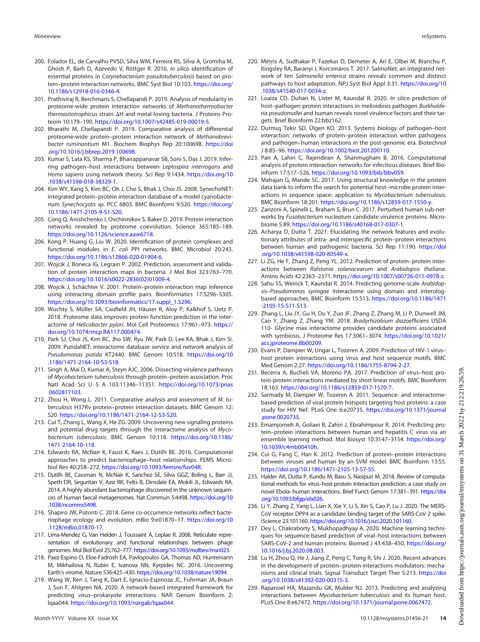- <span id="page-13-2"></span>200. Folador EL, de Carvalho PVSD, Silva WM, Ferreira RS, Silva A, Gromiha M, Ghosh P, Barh D, Azevedo V, Röttger R. 2016. In silico identification of essential proteins in Corynebacterium pseudotuberculosis based on protein–protein interaction networks. BMC Syst Biol 10:103. [https://doi.org/](https://doi.org/10.1186/s12918-016-0346-4) [10.1186/s12918-016-0346-4](https://doi.org/10.1186/s12918-016-0346-4).
- <span id="page-13-5"></span>201. Prathiviraj R, Berchmans S, Chellapandi P. 2019. Analysis of modularity in proteome-wide protein interaction networks of Methanothermobacter thermautotrophicus strain  $\Delta H$  and metal-loving bacteria. J Proteins Proteom 10:179–190. [https://doi.org/10.1007/s42485-019-00019-5.](https://doi.org/10.1007/s42485-019-00019-5)
- <span id="page-13-4"></span>202. Bharathi M, Chellapandi P. 2019. Comparative analysis of differential proteome-wide protein–protein interaction network of Methanobrevibacter ruminantium M1. Biochem Biophys Rep 20:100698. [https://doi](https://doi.org/10.1016/j.bbrep.2019.100698) [.org/10.1016/j.bbrep.2019.100698](https://doi.org/10.1016/j.bbrep.2019.100698).
- <span id="page-13-24"></span>203. Kumar S, Lata KS, Sharma P, Bhairappanavar SB, Soni S, Das J. 2019. Inferring pathogen–host interactions between Leptospira interrogans and Homo sapiens using network theory. Sci Rep 9:1434. [https://doi.org/10](https://doi.org/10.1038/s41598-018-38329-1) [.1038/s41598-018-38329-1.](https://doi.org/10.1038/s41598-018-38329-1)
- <span id="page-13-0"></span>204. Kim WY, Kang S, Kim BC, Oh J, Cho S, Bhak J, Choi JS. 2008. SynechoNET: integrated protein–protein interaction database of a model cyanobacterium Synechocystis sp. PCC 6803. BMC Bioinform 9:S20. [https://doi.org/](https://doi.org/10.1186/1471-2105-9-S1-S20) [10.1186/1471-2105-9-S1-S20](https://doi.org/10.1186/1471-2105-9-S1-S20).
- <span id="page-13-3"></span>205. Cong Q, Anishchenko I, Ovchinnikov S, Baker D. 2019. Protein interaction networks revealed by proteome coevolution. Science 365:185–189. <https://doi.org/10.1126/science.aaw6718>.
- <span id="page-13-9"></span>206. Kong P, Huang G, Liu W. 2020. Identification of protein complexes and functional modules in E. coli PPI networks. BMC Microbiol 20:243. <https://doi.org/10.1186/s12866-020-01904-6>.
- <span id="page-13-1"></span>207. Wojcik J, Boneca IG, Legrain P. 2002. Prediction, assessment and validation of protein interaction maps in bacteria. J Mol Biol 323:763–770. [https://doi.org/10.1016/s0022-2836\(02\)01009-4.](https://doi.org/10.1016/s0022-2836(02)01009-4)
- <span id="page-13-10"></span>208. Wojcik J, Schächter V. 2001. Protein–protein interaction map inference using interacting domain profile pairs. Bioinformatics 17:S296–S305. [https://doi.org/10.1093/bioinformatics/17.suppl\\_1.S296](https://doi.org/10.1093/bioinformatics/17.suppl_1.S296).
- <span id="page-13-11"></span>209. Wuchty S, Müller SA, Caufield JH, Häuser R, Aloy P, Kalkhof S, Uetz P. 2018. Proteome data improves protein function prediction in the interactome of Helicobacter pylori. Mol Cell Proteomics 17:961-973. [https://](https://doi.org/10.1074/mcp.RA117.000474) [doi.org/10.1074/mcp.RA117.000474.](https://doi.org/10.1074/mcp.RA117.000474)
- <span id="page-13-7"></span>210. Park SJ, Choi JS, Kim BC, Jho SW, Ryu JW, Park D, Lee KA, Bhak J, Kim SI. 2009. PutidaNET: interactome database service and network analysis of Pseudomonas putida KT2440. BMC Genom 10:S18. [https://doi.org/10](https://doi.org/10.1186/1471-2164-10-S3-S18) [.1186/1471-2164-10-S3-S18](https://doi.org/10.1186/1471-2164-10-S3-S18).
- <span id="page-13-12"></span>211. Singh A, Mai D, Kumar A, Steyn AJC. 2006. Dissecting virulence pathways of Mycobacterium tuberculosis through protein–protein association. Proc Natl Acad Sci U S A 103:11346–11351. [https://doi.org/10.1073/pnas](https://doi.org/10.1073/pnas.0602817103) [.0602817103](https://doi.org/10.1073/pnas.0602817103).
- <span id="page-13-13"></span>212. Zhou H, Wong L. 2011. Comparative analysis and assessment of M. tuberculosis H37Rv protein–protein interaction datasets. BMC Genom 12: S20. [https://doi.org/10.1186/1471-2164-12-S3-S20.](https://doi.org/10.1186/1471-2164-12-S3-S20)
- <span id="page-13-6"></span>213. Cui T, Zhang L, Wang X, He ZG. 2009. Uncovering new signaling proteins and potential drug targets through the interactome analysis of Mycobacterium tuberculosis. BMC Genom 10:118. [https://doi.org/10.1186/](https://doi.org/10.1186/1471-2164-10-118) [1471-2164-10-118](https://doi.org/10.1186/1471-2164-10-118).
- <span id="page-13-14"></span>214. Edwards RA, McNair K, Faust K, Raes J, Dutilh BE. 2016. Computational approaches to predict bacteriophage–host relationships. FEMS Microbiol Rev 40:258–272. [https://doi.org/10.1093/femsre/fuv048.](https://doi.org/10.1093/femsre/fuv048)
- <span id="page-13-15"></span>215. Dutilh BE, Cassman N, McNair K, Sanchez SE, Silva GGZ, Boling L, Barr JJ, Speth DR, Seguritan V, Aziz RK, Felts B, Dinsdale EA, Mokili JL, Edwards RA. 2014. A highly abundant bacteriophage discovered in the unknown sequences of human faecal metagenomes. Nat Commun 5:4498. [https://doi.org/10](https://doi.org/10.1038/ncomms5498) [.1038/ncomms5498.](https://doi.org/10.1038/ncomms5498)
- 216. Shapiro JW, Putonti C. 2018. Gene co-occurrence networks reflect bacteriophage ecology and evolution. mBio 9:e01870–17. [https://doi.org/10](https://doi.org/10.1128/mBio.01870-17) [.1128/mBio.01870-17.](https://doi.org/10.1128/mBio.01870-17)
- 217. Lima-Mendez G, Van Helden J, Toussaint A, Leplae R. 2008. Reticulate representation of evolutionary and functional relationships between phage genomes. Mol Biol Evol 25:762–777. <https://doi.org/10.1093/molbev/msn023>.
- <span id="page-13-16"></span>218. Paez-Espino D, Eloe-Fadrosh EA, Pavlopoulos GA, Thomas AD, Huntemann M, Mikhailova N, Rubin E, Ivanova NN, Kyrpides NC. 2016. Uncovering Earth's virome. Nature 536:425–430. <https://doi.org/10.1038/nature19094>.
- <span id="page-13-17"></span>219. Wang W, Ren J, Tang K, Dart E, Ignacio-Espinoza JC, Fuhrman JA, Braun J, Sun F, Ahlgren NA. 2020. A network-based integrated framework for predicting virus–prokaryote interactions. NAR Genom Bioinform 2: lqaa044. <https://doi.org/10.1093/nargab/lqaa044>.
- <span id="page-13-8"></span>220. Métris A, Sudhakar P, Fazekas D, Demeter A, Ari E, Olbei M, Branchu P, Kingsley RA, Baranyi J, Korcsmáros T. 2017. SalmoNet, an integrated network of ten Salmonella enterica strains reveals common and distinct pathways to host adaptation. NPJ Syst Biol Appl 3:31. [https://doi.org/10](https://doi.org/10.1038/s41540-017-0034-z) [.1038/s41540-017-0034-z](https://doi.org/10.1038/s41540-017-0034-z).
- <span id="page-13-18"></span>221. Loaiza CD, Duhan N, Lister M, Kaundal R. 2020. In silico prediction of host–pathogen protein interactions in melioidosis pathogen Burkholderia pseudomallei and human reveals novel virulence factors and their targets. Brief Bioinform 22:bbz162.
- <span id="page-13-19"></span>222. Durmus Tekir SD, Ülgen KO. 2013. Systems biology of pathogen–host interaction: networks of protein–protein interaction within pathogens and pathogen–human interactions in the post-genomic era. Biotechnol J 8:85–96. <https://doi.org/10.1002/biot.201200110>.
- <span id="page-13-20"></span>223. Pan A, Lahiri C, Rajendiran A, Shanmugham B. 2016. Computational analysis of protein interaction networks for infectious diseases. Brief Bioinform 17:517–526. [https://doi.org/10.1093/bib/bbv059.](https://doi.org/10.1093/bib/bbv059)
- <span id="page-13-21"></span>224. Mahajan G, Mande SC. 2017. Using structural knowledge in the protein data bank to inform the search for potential host–microbe protein interactions in sequence space: application to Mycobacterium tuberculosis. BMC Bioinform 18:201. [https://doi.org/10.1186/s12859-017-1550-y.](https://doi.org/10.1186/s12859-017-1550-y)
- <span id="page-13-22"></span>225. Zanzoni A, Spinelli L, Braham S, Brun C. 2017. Perturbed human sub-networks by *Fusobacterium nucleatum* candidate virulence proteins. Microbiome 5:89. [https://doi.org/10.1186/s40168-017-0307-1.](https://doi.org/10.1186/s40168-017-0307-1)
- <span id="page-13-23"></span>226. Acharya D, Dutta T. 2021. Elucidating the network features and evolutionary attributes of intra- and interspecific protein–protein interactions between human and pathogenic bacteria. Sci Rep 11:190. [https://doi](https://doi.org/10.1038/s41598-020-80549-x) [.org/10.1038/s41598-020-80549-x.](https://doi.org/10.1038/s41598-020-80549-x)
- <span id="page-13-25"></span>227. Li ZG, He F, Zhang Z, Peng YL. 2012. Prediction of protein–protein interactions between Ralstonia solanacearum and Arabidopsis thaliana. Amino Acids 42:2363–2371. [https://doi.org/10.1007/s00726-011-0978-z.](https://doi.org/10.1007/s00726-011-0978-z)
- <span id="page-13-26"></span>228. Sahu SS, Weirick T, Kaundal R. 2014. Predicting genome-scale Arabidopsis–Pseudomonas syringae interactome using domain and interologbased approaches. BMC Bioinform 15:S13. [https://doi.org/10.1186/1471](https://doi.org/10.1186/1471-2105-15-S11-S13) [-2105-15-S11-S13](https://doi.org/10.1186/1471-2105-15-S11-S13).
- <span id="page-13-27"></span>229. Zhang L, Liu JY, Gu H, Du Y, Zuo JF, Zhang Z, Zhang M, Li P, Dunwell JM, Cao Y, Zhang Z, Zhang YM. 2018. Bradyrhizobium diazoefficiens USDA 110- Glycine max interactome provides candidate proteins associated with symbiosis. J Proteome Res 17:3061–3074. [https://doi.org/10.1021/](https://doi.org/10.1021/acs.jproteome.8b00209) [acs.jproteome.8b00209.](https://doi.org/10.1021/acs.jproteome.8b00209)
- <span id="page-13-28"></span>230. Evans P, Dampier W, Ungar L, Tozeren A. 2009. Prediction of HIV-1 virus– host protein interactions using virus and host sequence motifs. BMC Med Genom 2:27. <https://doi.org/10.1186/1755-8794-2-27>.
- <span id="page-13-29"></span>231. Becerra A, Bucheli VA, Moreno PA. 2017. Prediction of virus–host protein-protein interactions mediated by short linear motifs. BMC Bioinform 18:163. <https://doi.org/10.1186/s12859-017-1570-7>.
- <span id="page-13-30"></span>232. Sarmady M, Dampier W, Tozeren A. 2011. Sequence- and interactomebased prediction of viral protein hotspots targeting host proteins: a case study for HIV Nef. PLoS One 6:e20735. [https://doi.org/10.1371/journal](https://doi.org/10.1371/journal.pone.0020735) [.pone.0020735.](https://doi.org/10.1371/journal.pone.0020735)
- <span id="page-13-31"></span>233. Emamjomeh A, Goliaei B, Zahiri J, Ebrahimpour R. 2014. Predicting protein–protein interactions between human and hepatitis C virus via an ensemble learning method. Mol Biosyst 10:3147–3154. [https://doi.org/](https://doi.org/10.1039/c4mb00410h) [10.1039/c4mb00410h.](https://doi.org/10.1039/c4mb00410h)
- <span id="page-13-32"></span>234. Cui G, Fang C, Han K. 2012. Prediction of protein–protein interactions between viruses and human by an SVM model. BMC Bioinform 13:S5. <https://doi.org/10.1186/1471-2105-13-S7-S5>.
- <span id="page-13-33"></span>235. Halder AK, Dutta P, Kundu M, Basu S, Nasipuri M. 2018. Review of computational methods for virus–host protein interaction prediction: a case study on novel Ebola–human interactions. Brief Funct Genom 17:381–391. [https://doi](https://doi.org/10.1093/bfgp/elx026) [.org/10.1093/bfgp/elx026.](https://doi.org/10.1093/bfgp/elx026)
- <span id="page-13-34"></span>236. Li Y, Zhang Z, Yang L, Lian X, Xie Y, Li S, Xin S, Cao P, Lu J. 2020. The MERS-CoV receptor DPP4 as a candidate binding target of the SARS-CoV-2 spike. iScience 23:101160. <https://doi.org/10.1016/j.isci.2020.101160>.
- <span id="page-13-35"></span>237. Dey L, Chakraborty S, Mukhopadhyay A. 2020. Machine learning techniques for sequence-based prediction of viral–host interactions between SARS-CoV-2 and human proteins. Biomed J 43:438–450. [https://doi.org/](https://doi.org/10.1016/j.bj.2020.08.003) [10.1016/j.bj.2020.08.003](https://doi.org/10.1016/j.bj.2020.08.003).
- <span id="page-13-36"></span>238. Lu H, Zhou Q, He J, Jiang Z, Peng C, Tong R, Shi J. 2020. Recent advances in the development of protein–protein interactions modulators: mechanisms and clinical trials. Signal Transduct Target Ther 5:213. [https://doi](https://doi.org/10.1038/s41392-020-00315-3) [.org/10.1038/s41392-020-00315-3](https://doi.org/10.1038/s41392-020-00315-3).
- <span id="page-13-37"></span>239. Rapanoel HA, Mazandu GK, Mulder NJ. 2013. Predicting and analyzing interactions between Mycobacterium tuberculosis and its human host. PLoS One 8:e67472. <https://doi.org/10.1371/journal.pone.0067472>.